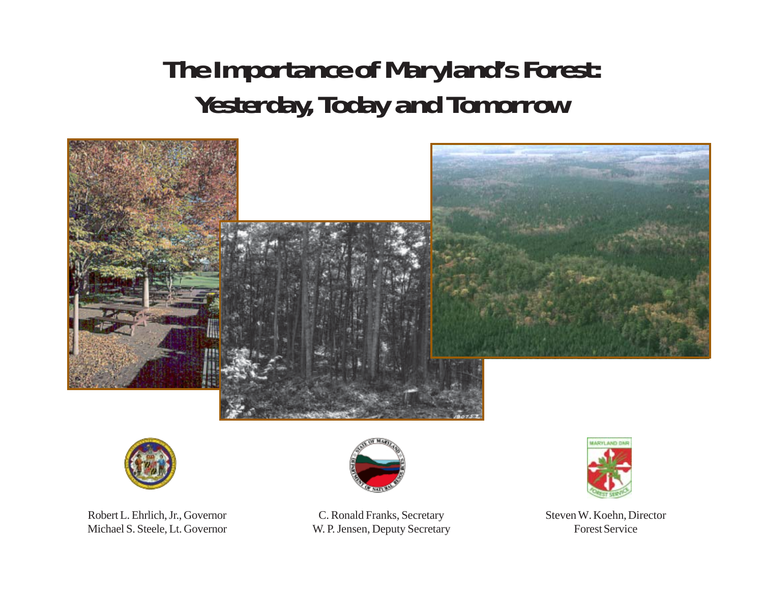# **The Importance of Maryland's Forest: Yesterday, Today and Tomorrow**





Robert L. Ehrlich, Jr., Governor Michael S. Steele, Lt. Governor



C. Ronald Franks, Secretary W. P. Jensen, Deputy Secretary



Steven W. Koehn, Director Forest Service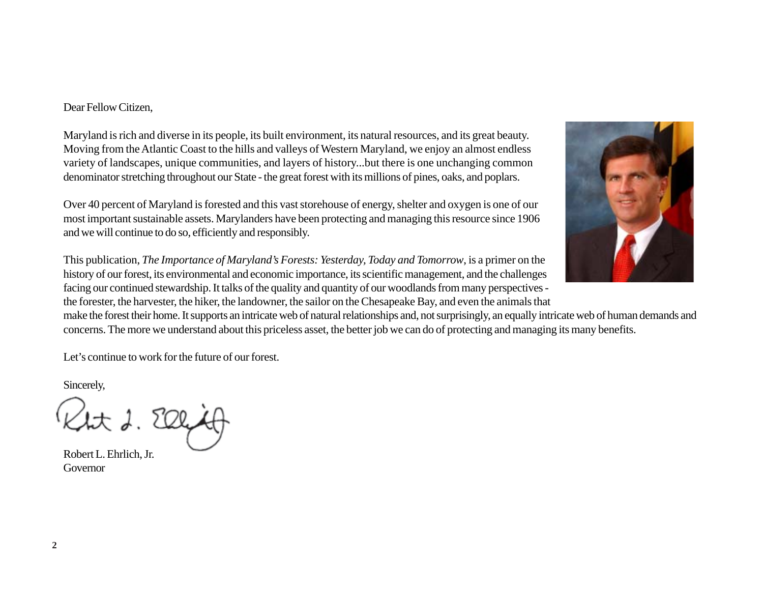### Dear Fellow Citizen,

Maryland is rich and diverse in its people, its built environment, its natural resources, and its great beauty. Moving from the Atlantic Coast to the hills and valleys of Western Maryland, we enjoy an almost endless variety of landscapes, unique communities, and layers of history...but there is one unchanging common denominator stretching throughout our State - the great forest with its millions of pines, oaks, and poplars.

Over 40 percent of Maryland is forested and this vast storehouse of energy, shelter and oxygen is one of our most important sustainable assets. Marylanders have been protecting and managing this resource since 1906 and we will continue to do so, efficiently and responsibly.

This publication, *The Importance of Maryland's Forests: Yesterday, Today and Tomorrow*, is a primer on the history of our forest, its environmental and economic importance, its scientific management, and the challenges facing our continued stewardship. It talks of the quality and quantity of our woodlands from many perspectives the forester, the harvester, the hiker, the landowner, the sailor on the Chesapeake Bay, and even the animals that

make the forest their home. It supports an intricate web of natural relationships and, not surprisingly, an equally intricate web of human demands and concerns. The more we understand about this priceless asset, the better job we can do of protecting and managing its many benefits.

Let's continue to work for the future of our forest.

Sincerely,

Robert L. Ehrlich, Jr. Governor

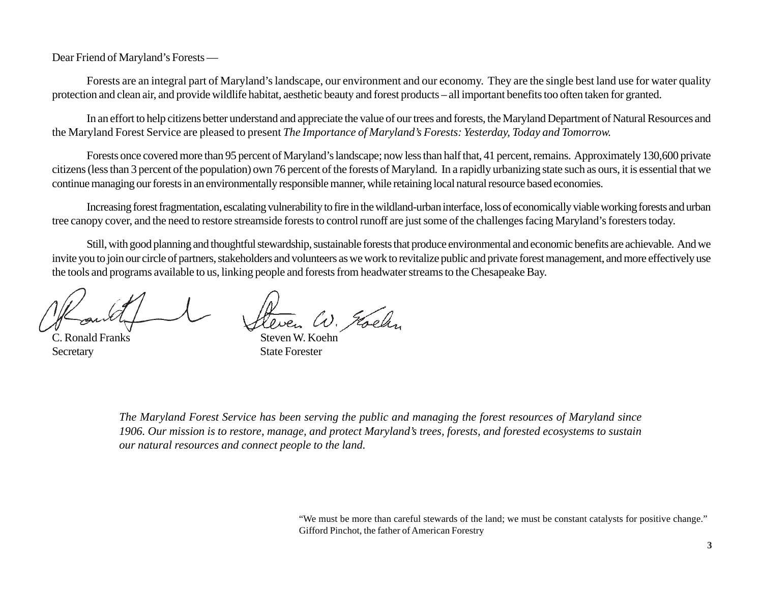Dear Friend of Maryland's Forests —

Forests are an integral part of Maryland's landscape, our environment and our economy. They are the single best land use for water quality protection and clean air, and provide wildlife habitat, aesthetic beauty and forest products – all important benefits too often taken for granted.

In an effort to help citizens better understand and appreciate the value of our trees and forests, the Maryland Department of Natural Resources and the Maryland Forest Service are pleased to present *The Importance of Maryland's Forests: Yesterday, Today and Tomorrow.*

Forests once covered more than 95 percent of Maryland's landscape; now less than half that, 41 percent, remains. Approximately 130,600 private citizens (less than 3 percent of the population) own 76 percent of the forests of Maryland. In a rapidly urbanizing state such as ours, it is essential that we continue managing our forests in an environmentally responsible manner, while retaining local natural resource based economies.

Increasing forest fragmentation, escalating vulnerability to fire in the wildland-urban interface, loss of economically viable working forests and urban tree canopy cover, and the need to restore streamside forests to control runoff are just some of the challenges facing Maryland's foresters today.

Still, with good planning and thoughtful stewardship, sustainable forests that produce environmental and economic benefits are achievable. And we invite you to join our circle of partners, stakeholders and volunteers as we work to revitalize public and private forest management, and more effectively use the tools and programs available to us, linking people and forests from headwater streams to the Chesapeake Bay.

C. Ronald Franks Steven W. Koehn Secretary State Forester

Leven W. Goelin

*The Maryland Forest Service has been serving the public and managing the forest resources of Maryland since 1906. Our mission is to restore, manage, and protect Maryland's trees, forests, and forested ecosystems to sustain our natural resources and connect people to the land.*

> "We must be more than careful stewards of the land; we must be constant catalysts for positive change." Gifford Pinchot, the father of American Forestry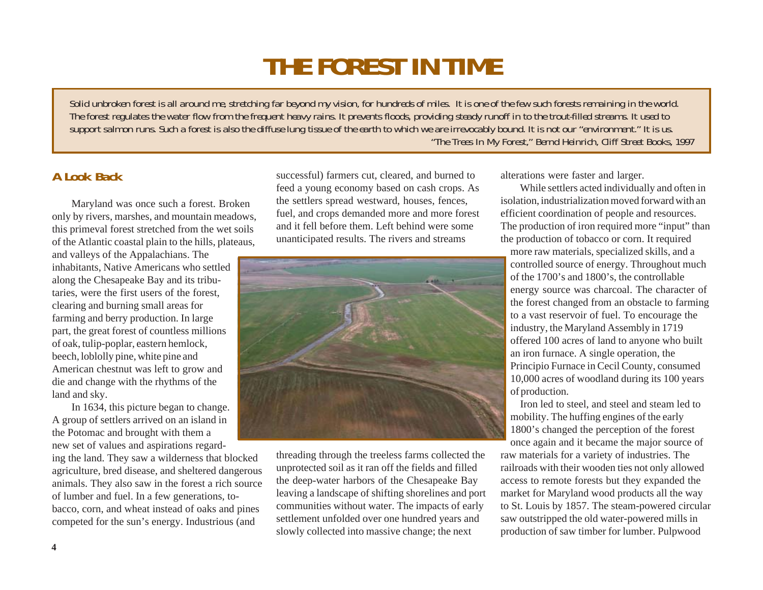# **THE FOREST IN TIME**

*Solid unbroken forest is all around me, stretching far beyond my vision, for hundreds of miles. It is one of the few such forests remaining in the world. The forest regulates the water flow from the frequent heavy rains. It prevents floods, providing steady runoff in to the trout-filled streams. It used to support salmon runs. Such a forest is also the diffuse lung tissue of the earth to which we are irrevocably bound. It is not our "environment." It is us. "The Trees In My Forest," Bernd Heinrich, Cliff Street Books, 1997*

# **A Look Back**

Maryland was once such a forest. Broken only by rivers, marshes, and mountain meadows, this primeval forest stretched from the wet soils of the Atlantic coastal plain to the hills, plateaus,

and valleys of the Appalachians. The inhabitants, Native Americans who settled along the Chesapeake Bay and its tributaries, were the first users of the forest, clearing and burning small areas for farming and berry production. In large part, the great forest of countless millions of oak, tulip-poplar, eastern hemlock, beech, loblolly pine, white pine and American chestnut was left to grow and die and change with the rhythms of the land and sky.

In 1634, this picture began to change. A group of settlers arrived on an island in the Potomac and brought with them a new set of values and aspirations regard-

ing the land. They saw a wilderness that blocked agriculture, bred disease, and sheltered dangerous animals. They also saw in the forest a rich source of lumber and fuel. In a few generations, tobacco, corn, and wheat instead of oaks and pines competed for the sun's energy. Industrious (and

successful) farmers cut, cleared, and burned to feed a young economy based on cash crops. As the settlers spread westward, houses, fences, fuel, and crops demanded more and more forest and it fell before them. Left behind were some unanticipated results. The rivers and streams



threading through the treeless farms collected the unprotected soil as it ran off the fields and filled the deep-water harbors of the Chesapeake Bay leaving a landscape of shifting shorelines and port communities without water. The impacts of early settlement unfolded over one hundred years and slowly collected into massive change; the next

alterations were faster and larger.

While settlers acted individually and often in isolation, industrialization moved forward with an efficient coordination of people and resources. The production of iron required more "input" than the production of tobacco or corn. It required

more raw materials, specialized skills, and a controlled source of energy. Throughout much of the 1700's and 1800's, the controllable energy source was charcoal. The character of the forest changed from an obstacle to farming to a vast reservoir of fuel. To encourage the industry, the Maryland Assembly in 1719 offered 100 acres of land to anyone who built an iron furnace. A single operation, the Principio Furnace in Cecil County, consumed 10,000 acres of woodland during its 100 years of production.

Iron led to steel, and steel and steam led to mobility. The huffing engines of the early 1800's changed the perception of the forest

once again and it became the major source of raw materials for a variety of industries. The railroads with their wooden ties not only allowed access to remote forests but they expanded the market for Maryland wood products all the way to St. Louis by 1857. The steam-powered circular saw outstripped the old water-powered mills in production of saw timber for lumber. Pulpwood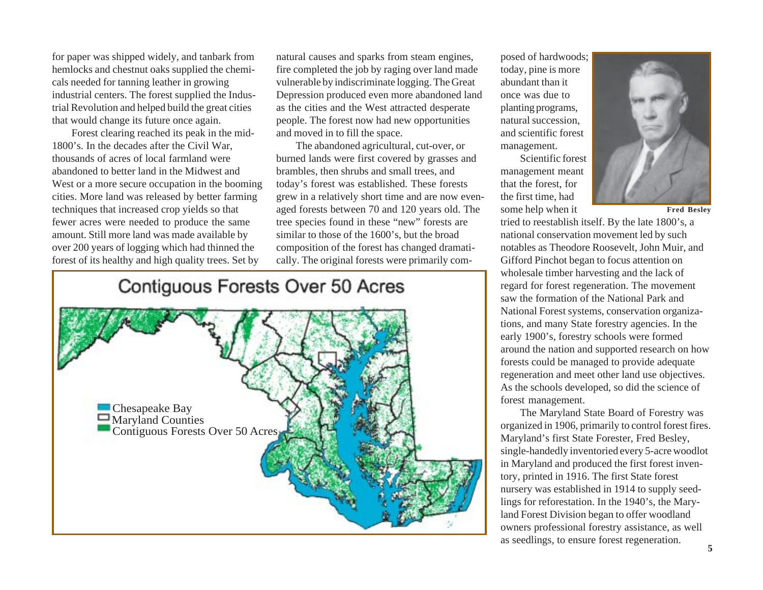for paper was shipped widely, and tanbark from hemlocks and chestnut oaks supplied the chemi cals needed for tanning leather in growing industrial centers. The forest supplied the Indus trial Revolution and helped build the great cities that would change its future once again.

Forest clearing reached its peak in the mid- 1800's. In the decades after the Civil War, thousands of acres of local farmland were abandoned to better land in the Midwest and West or a more secure occupation in the booming cities. More land was released by better farming techniques that increased crop yields so that fewer acres were needed to produce the same amount. Still more land was made available by over 200 years of logging which had thinned the For paper was shipped widely, and tanbank from natural causes and sparks from steamed particles, and the completed the job by raging over land made<br>
hemolocks and chesture is the cause of the cause of the cause of the caus

natural causes and sparks from steam engines, fire completed the job by raging over land made vulnerable by indiscriminate logging. The Great Depression produced even more abandoned land as the cities and the West attracted desperate people. The forest now had new opportunities and moved in to fill the space.

The abandoned agricultural, cut-over, or burned lands were first covered by grasses and brambles, then shrubs and small trees, and today's forest was established. These forests grew in a relatively short time and are now evenaged forests between 70 and 120 years old. The tree species found in these "new" forests are similar to those of the 1600's, but the broad composition of the forest has changed dramatically. The original forests were primarily com-

# Contiguous Forests Over 50 Acres





wholesale timber harvesting and the lack of regard for forest regeneration. The movement saw the formation of the National Park and National Forest systems, conservation organizations, and many State forestry agencies. In the early 1900's, forestry schools were formed around the nation and supported research on how forests could be managed to provide adequate regeneration and meet other land use objectives. As the schools developed, so did the science of forest management.

The Maryland State Board of Forestry was organized in 1906, primarily to control forest fires. Maryland's first State Forester, Fred Besley, single-handedly inventoried every 5-acre woodlot in Maryland and produced the first forest inventory, printed in 1916. The first State forest nursery was established in 1914 to supply seedlings for reforestation. In the 1940's, the Maryland Forest Division began to offer woodland owners professional forestry assistance, as well as seedlings, to ensure forest regeneration.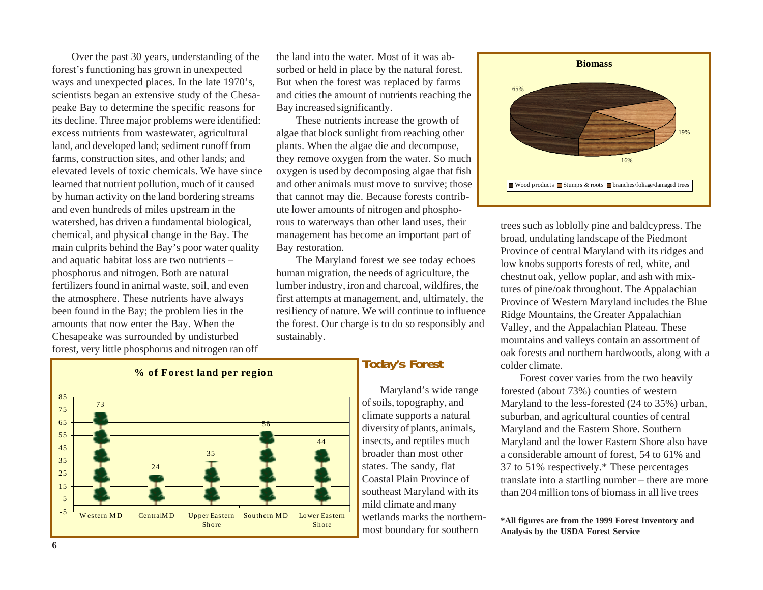Over the past 30 years, understanding of the forest's functioning has grown in unexpected ways and unexpected places. In the late 1970's, scientists began an extensive study of the Chesapeake Bay to determine the specific reasons for its decline. Three major problems were identified: excess nutrients from wastewater, agricultural land, and developed land; sediment runoff from farms, construction sites, and other lands; and elevated levels of toxic chemicals. We have since learned that nutrient pollution, much of it caused by human activity on the land bordering streams and even hundreds of miles upstream in the watershed, has driven a fundamental biological, chemical, and physical change in the Bay. The main culprits behind the Bay's poor water quality and aquatic habitat loss are two nutrients – phosphorus and nitrogen. Both are natural fertilizers found in animal waste, soil, and even the atmosphere. These nutrients have always been found in the Bay; the problem lies in the amounts that now enter the Bay. When the Chesapeake was surrounded by undisturbed forest, very little phosphorus and nitrogen ran off

the land into the water. Most of it was absorbed or held in place by the natural forest. But when the forest was replaced by farms and cities the amount of nutrients reaching the Bay increased significantly.

These nutrients increase the growth of algae that block sunlight from reaching other plants. When the algae die and decompose, they remove oxygen from the water. So much oxygen is used by decomposing algae that fish and other animals must move to survive; those that cannot may die. Because forests contribute lower amounts of nitrogen and phosphorous to waterways than other land uses, their management has become an important part of Bay restoration.

The Maryland forest we see today echoes human migration, the needs of agriculture, the lumber industry, iron and charcoal, wildfires, the first attempts at management, and, ultimately, the resiliency of nature. We will continue to influence the forest. Our charge is to do so responsibly and sustainably.



# **Today's Forest**

Maryland's wide range of soils, topography, and climate supports a natural diversity of plants, animals, insects, and reptiles much broader than most other states. The sandy, flat Coastal Plain Province of southeast Maryland with its mild climate and many wetlands marks the northern-



trees such as loblolly pine and baldcypress. The broad, undulating landscape of the Piedmont Province of central Maryland with its ridges and low knobs supports forests of red, white, and chestnut oak, yellow poplar, and ash with mixtures of pine/oak throughout. The Appalachian Province of Western Maryland includes the Blue Ridge Mountains, the Greater Appalachian Valley, and the Appalachian Plateau. These mountains and valleys contain an assortment of oak forests and northern hardwoods, along with a colder climate.

 Forest cover varies from the two heavily forested (about 73%) counties of western Maryland to the less-forested (24 to 35%) urban, suburban, and agricultural counties of central Maryland and the Eastern Shore. Southern Maryland and the lower Eastern Shore also have a considerable amount of forest, 54 to 61% and 37 to 51% respectively.\* These percentages translate into a startling number – there are more than 204 million tons of biomass in all live trees

weithman marks the normer **\*All figures are from the 1999 Forest Inventory and**<br>most boundary for southern **Analysis by the USDA Forest Service**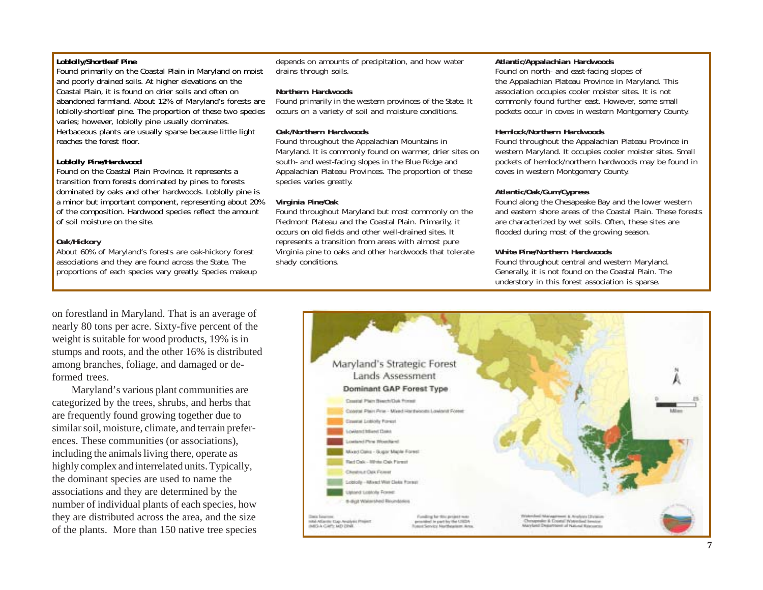#### **Loblolly/Shortleaf Pine**

Found primarily on the Coastal Plain in Maryland on moist and poorly drained soils. At higher elevations on the Coastal Plain, it is found on drier soils and often on abandoned farmland. About 12% of Maryland's forests are loblolly-shortleaf pine. The proportion of these two species varies; however, loblolly pine usually dominates. Herbaceous plants are usually sparse because little light reaches the forest floor.

#### **Loblolly Pine/Hardwood**

Found on the Coastal Plain Province. It represents a transition from forests dominated by pines to forests dominated by oaks and other hardwoods. Loblolly pine is a minor but important component, representing about 20% of the composition. Hardwood species reflect the amount of soil moisture on the site.

#### **Oak/Hickory**

About 60% of Maryland's forests are oak-hickory forest associations and they are found across the State. The proportions of each species vary greatly. Species makeup depends on amounts of precipitation, and how water drains through soils.

#### **Northern Hardwoods**

Found primarily in the western provinces of the State. It occurs on a variety of soil and moisture conditions.

#### **Oak/Northern Hardwoods**

Found throughout the Appalachian Mountains in Maryland. It is commonly found on warmer, drier sites on south- and west-facing slopes in the Blue Ridge and Appalachian Plateau Provinces. The proportion of these species varies greatly.

#### **Virginia Pine/Oak**

Found throughout Maryland but most commonly on the Piedmont Plateau and the Coastal Plain. Primarily, it occurs on old fields and other well-drained sites. It represents a transition from areas with almost pure Virginia pine to oaks and other hardwoods that tolerate shady conditions.

#### **Atlantic/Appalachian Hardwoods**

Found on north- and east-facing slopes of the Appalachian Plateau Province in Maryland. This association occupies cooler moister sites. It is not commonly found further east. However, some small pockets occur in coves in western Montgomery County.

#### **Hemlock/Northern Hardwoods**

Found throughout the Appalachian Plateau Province in western Maryland. It occupies cooler moister sites. Small pockets of hemlock/northern hardwoods may be found in coves in western Montgomery County.

#### **Atlantic/Oak/Gum/Cypress**

Found along the Chesapeake Bay and the lower western and eastern shore areas of the Coastal Plain. These forests are characterized by wet soils. Often, these sites are flooded during most of the growing season.

#### **White Pine/Northern Hardwoods**

Found throughout central and western Maryland. Generally, it is not found on the Coastal Plain. The understory in this forest association is sparse.

on forestland in Maryland. That is an average of nearly 80 tons per acre. Sixty-five percent of the weight is suitable for wood products, 19% is in stumps and roots, and the other 16% is distributed among branches, foliage, and damaged or deformed trees.

Maryland's various plant communities are categorized by the trees, shrubs, and herbs that are frequently found growing together due to similar soil, moisture, climate, and terrain preferences. These communities (or associations), including the animals living there, operate as highly complex and interrelated units. Typically, the dominant species are used to name the associations and they are determined by the number of individual plants of each species, how they are distributed across the area, and the size of the plants. More than 150 native tree species

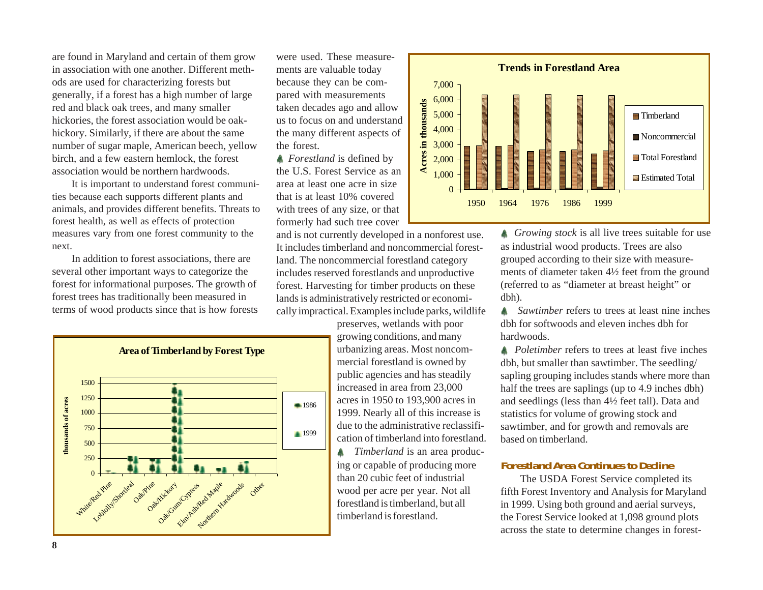are found in Maryland and certain of them grow in association with one another. Different methods are used for characterizing forests but generally, if a forest has a high number of large red and black oak trees, and many smaller hickories, the forest association would be oakhickory. Similarly, if there are about the same number of sugar maple, American beech, yellow birch, and a few eastern hemlock, the forest association would be northern hardwoods.

It is important to understand forest communities because each supports different plants and animals, and provides different benefits. Threats to forest health, as well as effects of protection measures vary from one forest community to the next.

In addition to forest associations, there are several other important ways to categorize the forest for informational purposes. The growth of forest trees has traditionally been measured in terms of wood products since that is how forests



were used. These measurements are valuable today because they can be compared with measurements taken decades ago and allow us to focus on and understand the many different aspects of the forest.

*A* Forestland is defined by the U.S. Forest Service as an area at least one acre in size that is at least 10% covered with trees of any size, or that formerly had such tree cover

and is not currently developed in a nonforest use. It includes timberland and noncommercial forestland. The noncommercial forestland category includes reserved forestlands and unproductive forest. Harvesting for timber products on these lands is administratively restricted or economically impractical. Examples include parks, wildlife

> preserves, wetlands with poor growing conditions, and many urbanizing areas. Most noncommercial forestland is owned by public agencies and has steadily increased in area from 23,000 acres in 1950 to 193,900 acres in 1999. Nearly all of this increase is due to the administrative reclassification of timberland into forestland.  *Timberland* is an area producing or capable of producing more than 20 cubic feet of industrial wood per acre per year. Not all forestland is timberland, but all timberland is forestland.



*Growing stock* is all live trees suitable for use as industrial wood products. Trees are also grouped according to their size with measurements of diameter taken 4½ feet from the ground (referred to as "diameter at breast height" or dbh).

**A** Sawtimber refers to trees at least nine inches dbh for softwoods and eleven inches dbh for hardwoods.

*A* Poletimber refers to trees at least five inches dbh, but smaller than sawtimber. The seedling/ sapling grouping includes stands where more than half the trees are saplings (up to 4.9 inches dbh) and seedlings (less than 4½ feet tall). Data and statistics for volume of growing stock and sawtimber, and for growth and removals are based on timberland.

## **Forestland Area Continues to Decline**

The USDA Forest Service completed its fifth Forest Inventory and Analysis for Maryland in 1999. Using both ground and aerial surveys, the Forest Service looked at 1,098 ground plots across the state to determine changes in forest-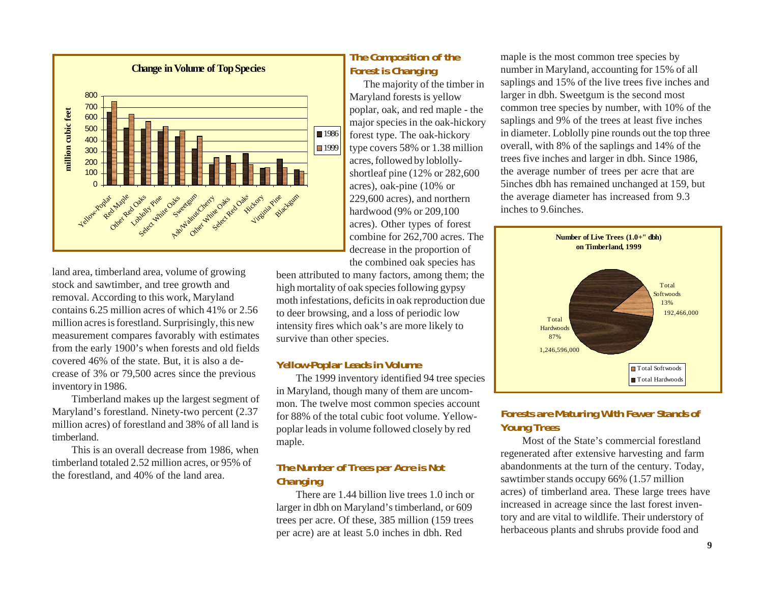

land area, timberland area, volume of growing stock and sawtimber, and tree growth and removal. According to this work, Maryland contains 6.25 million acres of which 41% or 2.56 million acres is forestland. Surprisingly, this new measurement compares favorably with estimates from the early 1900's when forests and old fields covered 46% of the state. But, it is also a decrease of 3% or 79,500 acres since the previous inventory in 1986.

Timberland makes up the largest segment of Maryland's forestland. Ninety-two percent (2.37 million acres) of forestland and 38% of all land is timberland.

This is an overall decrease from 1986, when timberland totaled 2.52 million acres, or 95% of the forestland, and 40% of the land area.

## **The Composition of the Forest is Changing**

The majority of the timber in Maryland forests is yellow poplar, oak, and red maple - the major species in the oak-hickory forest type. The oak-hickory type covers 58% or 1.38 million acres, followed by loblollyshortleaf pine (12% or 282,600 acres), oak-pine (10% or 229,600 acres), and northern hardwood (9% or 209,100 acres). Other types of forest combine for 262,700 acres. The decrease in the proportion of the combined oak species has

been attributed to many factors, among them; the high mortality of oak species following gypsy moth infestations, deficits in oak reproduction due to deer browsing, and a loss of periodic low intensity fires which oak's are more likely to survive than other species.

### **Yellow-Poplar Leads in Volume**

The 1999 inventory identified 94 tree species in Maryland, though many of them are uncommon. The twelve most common species account for 88% of the total cubic foot volume. Yellowpoplar leads in volume followed closely by red maple.

## **The Number of Trees per Acre is Not Changing**

There are 1.44 billion live trees 1.0 inch or larger in dbh on Maryland's timberland, or 609 trees per acre. Of these, 385 million (159 trees per acre) are at least 5.0 inches in dbh. Red

maple is the most common tree species by number in Maryland, accounting for 15% of all saplings and 15% of the live trees five inches and larger in dbh. Sweetgum is the second most common tree species by number, with 10% of the saplings and 9% of the trees at least five inches in diameter. Loblolly pine rounds out the top three overall, with 8% of the saplings and 14% of the trees five inches and larger in dbh. Since 1986, the average number of trees per acre that are 5inches dbh has remained unchanged at 159, but the average diameter has increased from 9.3 inches to 9.6inches.



## **Forests are Maturing With Fewer Stands of Young Trees**

Most of the State's commercial forestland regenerated after extensive harvesting and farm abandonments at the turn of the century. Today, sawtimber stands occupy 66% (1.57 million acres) of timberland area. These large trees have increased in acreage since the last forest inventory and are vital to wildlife. Their understory of herbaceous plants and shrubs provide food and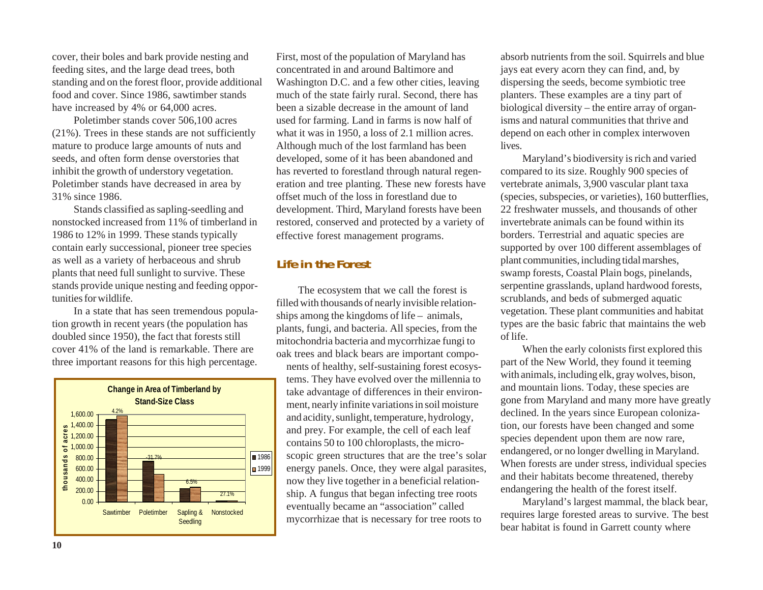cover, their boles and bark provide nesting and feeding sites, and the large dead trees, both standing and on the forest floor, provide additional food and cover. Since 1986, sawtimber stands have increased by 4% or 64,000 acres.

Poletimber stands cover 506,100 acres (21%). Trees in these stands are not sufficiently mature to produce large amounts of nuts and seeds, and often form dense overstories that inhibit the growth of understory vegetation. Poletimber stands have decreased in area by 31% since 1986.

Stands classified as sapling-seedling and nonstocked increased from 11% of timberland in 1986 to 12% in 1999. These stands typically contain early successional, pioneer tree species as well as a variety of herbaceous and shrub plants that need full sunlight to survive. These stands provide unique nesting and feeding opportunities for wildlife.

In a state that has seen tremendous population growth in recent years (the population has doubled since 1950), the fact that forests still cover 41% of the land is remarkable. There are three important reasons for this high percentage.



First, most of the population of Maryland has concentrated in and around Baltimore and Washington D.C. and a few other cities, leaving much of the state fairly rural. Second, there has been a sizable decrease in the amount of land used for farming. Land in farms is now half of what it was in 1950, a loss of 2.1 million acres. Although much of the lost farmland has been developed, some of it has been abandoned and has reverted to forestland through natural regeneration and tree planting. These new forests have offset much of the loss in forestland due to development. Third, Maryland forests have been restored, conserved and protected by a variety of effective forest management programs.

# **Life in the Forest**

The ecosystem that we call the forest is filled with thousands of nearly invisible relationships among the kingdoms of life – animals, plants, fungi, and bacteria. All species, from the mitochondria bacteria and mycorrhizae fungi to oak trees and black bears are important compo-

nents of healthy, self-sustaining forest ecosystems. They have evolved over the millennia to take advantage of differences in their environment, nearly infinite variations in soil moisture and acidity, sunlight, temperature, hydrology, and prey. For example, the cell of each leaf contains 50 to 100 chloroplasts, the microscopic green structures that are the tree's solar energy panels. Once, they were algal parasites, now they live together in a beneficial relationship. A fungus that began infecting tree roots eventually became an "association" called mycorrhizae that is necessary for tree roots to

absorb nutrients from the soil. Squirrels and blue jays eat every acorn they can find, and, by dispersing the seeds, become symbiotic tree planters. These examples are a tiny part of biological diversity – the entire array of organisms and natural communities that thrive and depend on each other in complex interwoven lives.

Maryland's biodiversity is rich and varied compared to its size. Roughly 900 species of vertebrate animals, 3,900 vascular plant taxa (species, subspecies, or varieties), 160 butterflies, 22 freshwater mussels, and thousands of other invertebrate animals can be found within its borders. Terrestrial and aquatic species are supported by over 100 different assemblages of plant communities, including tidal marshes, swamp forests, Coastal Plain bogs, pinelands, serpentine grasslands, upland hardwood forests, scrublands, and beds of submerged aquatic vegetation. These plant communities and habitat types are the basic fabric that maintains the web of life.

When the early colonists first explored this part of the New World, they found it teeming with animals, including elk, gray wolves, bison, and mountain lions. Today, these species are gone from Maryland and many more have greatly declined. In the years since European colonization, our forests have been changed and some species dependent upon them are now rare, endangered, or no longer dwelling in Maryland. When forests are under stress, individual species and their habitats become threatened, thereby endangering the health of the forest itself.

Maryland's largest mammal, the black bear, requires large forested areas to survive. The best bear habitat is found in Garrett county where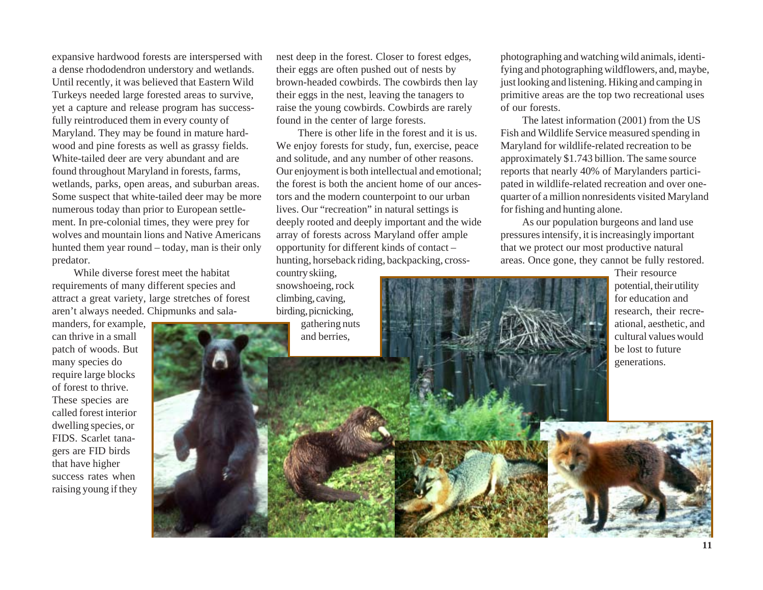expansive hardwood forests are interspersed with a dense rhododendron understory and wetlands. Until recently, it was believed that Eastern Wild Turkeys needed large forested areas to survive, yet a capture and release program has successfully reintroduced them in every county of Maryland. They may be found in mature hardwood and pine forests as well as grassy fields. White-tailed deer are very abundant and are found throughout Maryland in forests, farms, wetlands, parks, open areas, and suburban areas. Some suspect that white-tailed deer may be more numerous today than prior to European settlement. In pre-colonial times, they were prey for wolves and mountain lions and Native Americans hunted them year round – today, man is their only predator.

While diverse forest meet the habitat requirements of many different species and attract a great variety, large stretches of forest aren't always needed. Chipmunks and sala-

manders, for example, can thrive in a small patch of woods. But many species do require large blocks of forest to thrive. These species are called forest interior dwelling species, or FIDS. Scarlet tanagers are FID birds that have higher success rates when raising young if they

nest deep in the forest. Closer to forest edges, their eggs are often pushed out of nests by brown-headed cowbirds. The cowbirds then lay their eggs in the nest, leaving the tanagers to raise the young cowbirds. Cowbirds are rarely found in the center of large forests.

There is other life in the forest and it is us. We enjoy forests for study, fun, exercise, peace and solitude, and any number of other reasons. Our enjoyment is both intellectual and emotional; the forest is both the ancient home of our ancestors and the modern counterpoint to our urban lives. Our "recreation" in natural settings is deeply rooted and deeply important and the wide array of forests across Maryland offer ample opportunity for different kinds of contact – hunting, horseback riding, backpacking, cross-

country skiing, snowshoeing, rock climbing, caving, birding, picnicking,

gathering nuts and berries,

photographing and watching wild animals, identifying and photographing wildflowers, and, maybe, just looking and listening. Hiking and camping in primitive areas are the top two recreational uses of our forests.

The latest information (2001) from the US Fish and Wildlife Service measured spending in Maryland for wildlife-related recreation to be approximately \$1.743 billion. The same source reports that nearly 40% of Marylanders participated in wildlife-related recreation and over onequarter of a million nonresidents visited Maryland for fishing and hunting alone.

As our population burgeons and land use pressures intensify, it is increasingly important that we protect our most productive natural areas. Once gone, they cannot be fully restored.

> Their resource potential, their utility for education and research, their recreational, aesthetic, and cultural values would be lost to future generations.

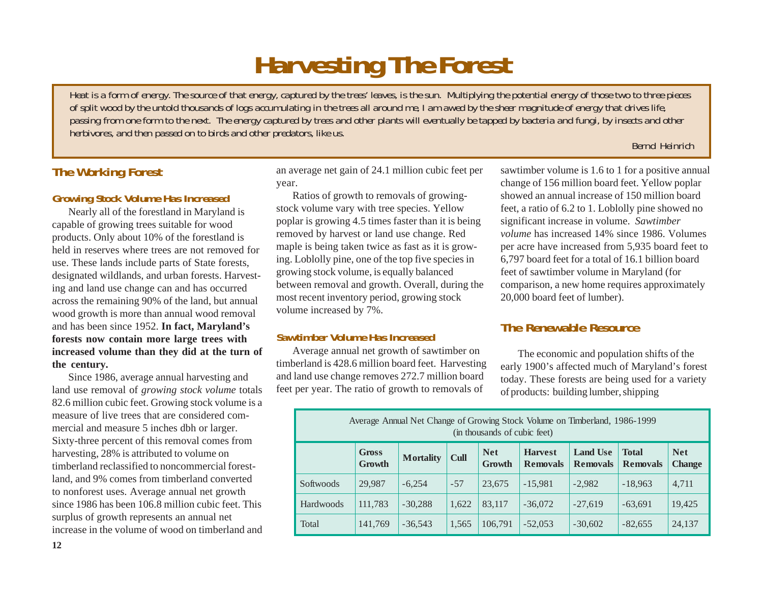# **Harvesting The Forest**

*Heat is a form of energy. The source of that energy, captured by the trees' leaves, is the sun. Multiplying the potential energy of those two to three pieces of split wood by the untold thousands of logs accumulating in the trees all around me, I am awed by the sheer magnitude of energy that drives life, passing from one form to the next. The energy captured by trees and other plants will eventually be tapped by bacteria and fungi, by insects and other herbivores, and then passed on to birds and other predators, like us.*

#### *Bernd Heinrich*

# **The Working Forest**

### **Growing Stock Volume Has Increased**

Nearly all of the forestland in Maryland is capable of growing trees suitable for wood products. Only about 10% of the forestland is held in reserves where trees are not removed for use. These lands include parts of State forests, designated wildlands, and urban forests. Harvesting and land use change can and has occurred across the remaining 90% of the land, but annual wood growth is more than annual wood removal and has been since 1952. **In fact, Maryland's forests now contain more large trees with increased volume than they did at the turn of the century.**

Since 1986, average annual harvesting and land use removal of *growing stock volume* totals 82.6 million cubic feet. Growing stock volume is a measure of live trees that are considered commercial and measure 5 inches dbh or larger. Sixty-three percent of this removal comes from harvesting, 28% is attributed to volume on timberland reclassified to noncommercial forestland, and 9% comes from timberland converted to nonforest uses. Average annual net growth since 1986 has been 106.8 million cubic feet. This surplus of growth represents an annual net increase in the volume of wood on timberland and an average net gain of 24.1 million cubic feet per year.

Ratios of growth to removals of growingstock volume vary with tree species. Yellow poplar is growing 4.5 times faster than it is being removed by harvest or land use change. Red maple is being taken twice as fast as it is growing. Loblolly pine, one of the top five species in growing stock volume, is equally balanced between removal and growth. Overall, during the most recent inventory period, growing stock volume increased by 7%.

## **Sawtimber Volume Has Increased**

Average annual net growth of sawtimber on timberland is 428.6 million board feet. Harvesting and land use change removes 272.7 million board feet per year. The ratio of growth to removals of

sawtimber volume is 1.6 to 1 for a positive annual change of 156 million board feet. Yellow poplar showed an annual increase of 150 million board feet, a ratio of 6.2 to 1. Loblolly pine showed no significant increase in volume. *Sawtimber volume* has increased 14% since 1986. Volumes per acre have increased from 5,935 board feet to 6,797 board feet for a total of 16.1 billion board feet of sawtimber volume in Maryland (for comparison, a new home requires approximately 20,000 board feet of lumber).

# **The Renewable Resource**

The economic and population shifts of the early 1900's affected much of Maryland's forest today. These forests are being used for a variety of products: building lumber, shipping

| Average Annual Net Change of Growing Stock Volume on Timberland, 1986-1999<br>(in thousands of cubic feet) |                        |                  |             |                      |                                   |                                    |                                 |                             |
|------------------------------------------------------------------------------------------------------------|------------------------|------------------|-------------|----------------------|-----------------------------------|------------------------------------|---------------------------------|-----------------------------|
|                                                                                                            | <b>Gross</b><br>Growth | <b>Mortality</b> | <b>Cull</b> | <b>Net</b><br>Growth | <b>Harvest</b><br><b>Removals</b> | <b>Land Use</b><br><b>Removals</b> | <b>Total</b><br><b>Removals</b> | <b>Net</b><br><b>Change</b> |
| Softwoods                                                                                                  | 29,987                 | $-6,254$         | $-57$       | 23,675               | $-15,981$                         | $-2,982$                           | $-18,963$                       | 4,711                       |
| <b>Hardwoods</b>                                                                                           | 111,783                | $-30,288$        | 1,622       | 83,117               | $-36,072$                         | $-27.619$                          | $-63,691$                       | 19,425                      |
| Total                                                                                                      | 141,769                | $-36.543$        | 1,565       | 106.791              | $-52,053$                         | $-30,602$                          | $-82,655$                       | 24,137                      |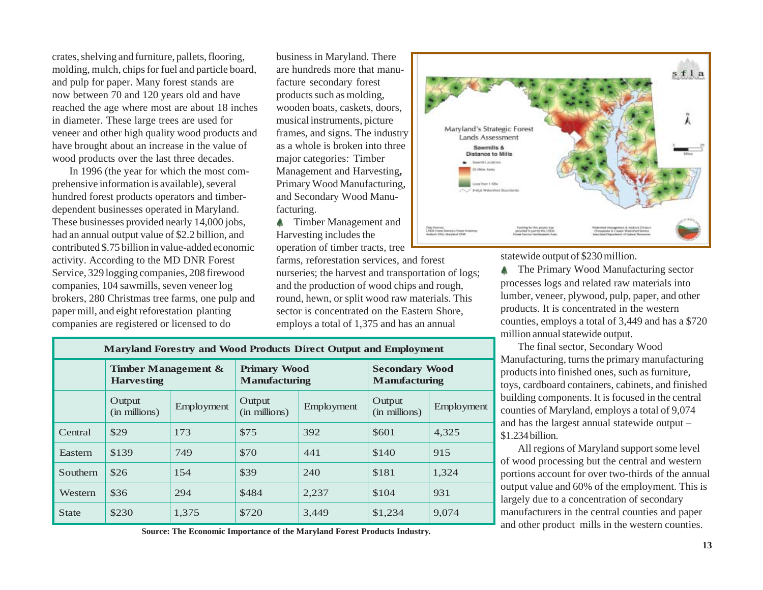crates, shelving and furniture, pallets, flooring, molding, mulch, chips for fuel and particle board, and pulp for paper. Many forest stands are now between 70 and 120 years old and have reached the age where most are about 18 inches in diameter. These large trees are used for veneer and other high quality wood products and have brought about an increase in the value of wood products over the last three decades.

In 1996 (the year for which the most comprehensive information is available), several hundred forest products operators and timberdependent businesses operated in Maryland. These businesses provided nearly 14,000 jobs, had an annual output value of \$2.2 billion, and contributed \$.75 billion in value-added economic activity. According to the MD DNR Forest Service, 329 logging companies, 208 firewood companies, 104 sawmills, seven veneer log brokers, 280 Christmas tree farms, one pulp and paper mill, and eight reforestation planting companies are registered or licensed to do

business in Maryland. There are hundreds more that manufacture secondary forest products such as molding, wooden boats, caskets, doors, musical instruments, picture frames, and signs. The industry as a whole is broken into three major categories: Timber Management and Harvesting**,** Primary Wood Manufacturing, and Secondary Wood Manufacturing.

**A** Timber Management and Harvesting includes the operation of timber tracts, tree

farms, reforestation services, and forest nurseries; the harvest and transportation of logs; and the production of wood chips and rough, round, hewn, or split wood raw materials. This sector is concentrated on the Eastern Shore, employs a total of 1,375 and has an annual

|                                                                                                                                                |                                                                                                     |                                                                                                                                           | sfla |
|------------------------------------------------------------------------------------------------------------------------------------------------|-----------------------------------------------------------------------------------------------------|-------------------------------------------------------------------------------------------------------------------------------------------|------|
| Maryland's Strategic Forest<br><b>Lands Assessment</b>                                                                                         |                                                                                                     |                                                                                                                                           |      |
| Sawmills &<br><b>Distance to Mills</b><br><b>Enversit Lacations</b><br>20 Mins Away<br>Lexis Hourt 1 Miles<br>/ / 1-4git Wetershed Bournieries |                                                                                                     |                                                                                                                                           |      |
| Date Solemn:<br>LREN Rotest Grecke's Poned Imaginesy<br>Hydrois FM: Maryland DNK                                                               | Fanding for this projections<br>provided in part its the LSDM.<br>Format Service New Research Arris | Watershed Weinspiesert & Analysis (Nelson)<br><b>Chesquake &amp; Council Watershot Service</b><br>Maryland Department of Natural Bensomer |      |

statewide output of \$230 million.

The Primary Wood Manufacturing sector processes logs and related raw materials into lumber, veneer, plywood, pulp, paper, and other products. It is concentrated in the western counties, employs a total of 3,449 and has a \$720 million annual statewide output.

The final sector, Secondary Wood Manufacturing, turns the primary manufacturing products into finished ones, such as furniture, toys, cardboard containers, cabinets, and finished building components. It is focused in the central counties of Maryland, employs a total of 9,074 and has the largest annual statewide output – \$1.234 billion.

All regions of Maryland support some level of wood processing but the central and western portions account for over two-thirds of the annual output value and 60% of the employment. This is largely due to a concentration of secondary manufacturers in the central counties and paper and other product mills in the western counties.

| <b>Maryland Forestry and Wood Products Direct Output and Employment</b> |                                             |            |                                             |            |                                               |            |  |
|-------------------------------------------------------------------------|---------------------------------------------|------------|---------------------------------------------|------------|-----------------------------------------------|------------|--|
|                                                                         | Timber Management $\&$<br><b>Harvesting</b> |            | <b>Primary Wood</b><br><b>Manufacturing</b> |            | <b>Secondary Wood</b><br><b>Manufacturing</b> |            |  |
|                                                                         | Output<br>(in millions)                     | Employment | Output<br>(in millions)                     | Employment | Output<br>(in millions)                       | Employment |  |
| Central                                                                 | \$29                                        | 173        | \$75                                        | 392        | \$601                                         | 4,325      |  |
| Eastern                                                                 | \$139                                       | 749        | \$70                                        | 441        | \$140                                         | 915        |  |
| Southern                                                                | \$26                                        | 154        | \$39                                        | 240        | \$181                                         | 1,324      |  |
| Western                                                                 | \$36                                        | 294        | \$484                                       | 2,237      | \$104                                         | 931        |  |
| <b>State</b>                                                            | \$230                                       | 1,375      | \$720                                       | 3,449      | \$1,234                                       | 9,074      |  |

**Source: The Economic Importance of the Maryland Forest Products Industry.**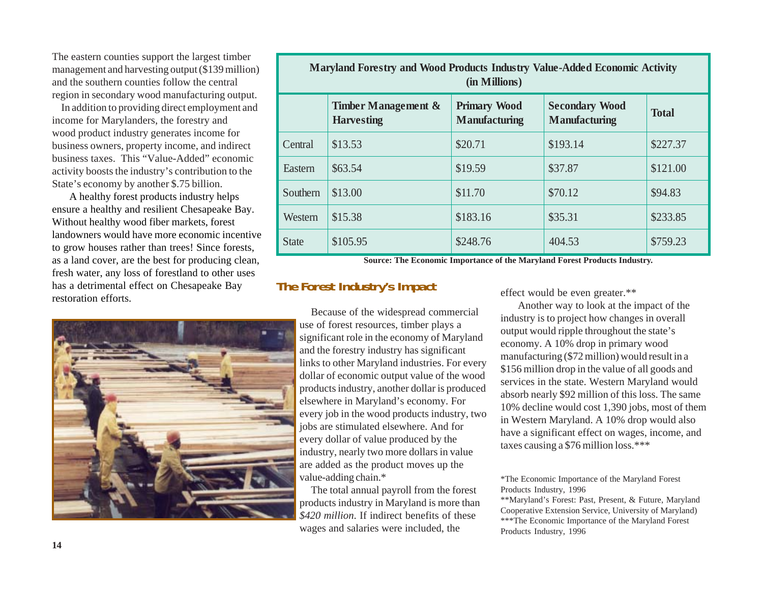The eastern counties support the largest timber management and harvesting output (\$139 million) and the southern counties follow the central region in secondary wood manufacturing output.

In addition to providing direct employment and income for Marylanders, the forestry and wood product industry generates income for business owners, property income, and indirect business taxes. This "Value-Added" economic activity boosts the industry's contribution to the State's economy by another \$.75 billion.

A healthy forest products industry helps ensure a healthy and resilient Chesapeake Bay. Without healthy wood fiber markets, forest landowners would have more economic incentive to grow houses rather than trees! Since forests, as a land cover, are the best for producing clean, fresh water, any loss of forestland to other uses has a detrimental effect on Chesapeake Bay restoration efforts.



| Maryland Forestry and Wood Products Industry Value-Added Economic Activity<br>(in Millions) |                                          |                                             |                                               |              |  |  |
|---------------------------------------------------------------------------------------------|------------------------------------------|---------------------------------------------|-----------------------------------------------|--------------|--|--|
|                                                                                             | Timber Management &<br><b>Harvesting</b> | <b>Primary Wood</b><br><b>Manufacturing</b> | <b>Secondary Wood</b><br><b>Manufacturing</b> | <b>Total</b> |  |  |
| Central                                                                                     | \$13.53                                  | \$20.71                                     | \$193.14                                      | \$227.37     |  |  |
| Eastern                                                                                     | \$63.54                                  | \$19.59                                     | \$37.87                                       | \$121.00     |  |  |
| Southern                                                                                    | \$13.00                                  | \$11.70                                     | \$70.12                                       | \$94.83      |  |  |
| Western                                                                                     | \$15.38                                  | \$183.16                                    | \$35.31                                       | \$233.85     |  |  |
| <b>State</b>                                                                                | \$105.95                                 | \$248.76                                    | 404.53                                        | \$759.23     |  |  |

**Source: The Economic Importance of the Maryland Forest Products Industry.**

# **The Forest Industry's Impact**

Because of the widespread commercial use of forest resources, timber plays a significant role in the economy of Maryland and the forestry industry has significant links to other Maryland industries. For every dollar of economic output value of the wood products industry, another dollar is produced elsewhere in Maryland's economy. For every job in the wood products industry, two jobs are stimulated elsewhere. And for every dollar of value produced by the industry, nearly two more dollars in value are added as the product moves up the value-adding chain.\*

The total annual payroll from the forest products industry in Maryland is more than *\$420 million*. If indirect benefits of these wages and salaries were included, the

effect would be even greater.\*\*

Another way to look at the impact of the industry is to project how changes in overall output would ripple throughout the state's economy. A 10% drop in primary wood manufacturing (\$72 million) would result in a \$156 million drop in the value of all goods and services in the state. Western Maryland would absorb nearly \$92 million of this loss. The same 10% decline would cost 1,390 jobs, most of them in Western Maryland. A 10% drop would also have a significant effect on wages, income, and taxes causing a \$76 million loss.\*\*\*

\*The Economic Importance of the Maryland Forest Products Industry, 1996

\*\*Maryland's Forest: Past, Present, & Future, Maryland Cooperative Extension Service, University of Maryland) \*\*\*The Economic Importance of the Maryland Forest Products Industry, 1996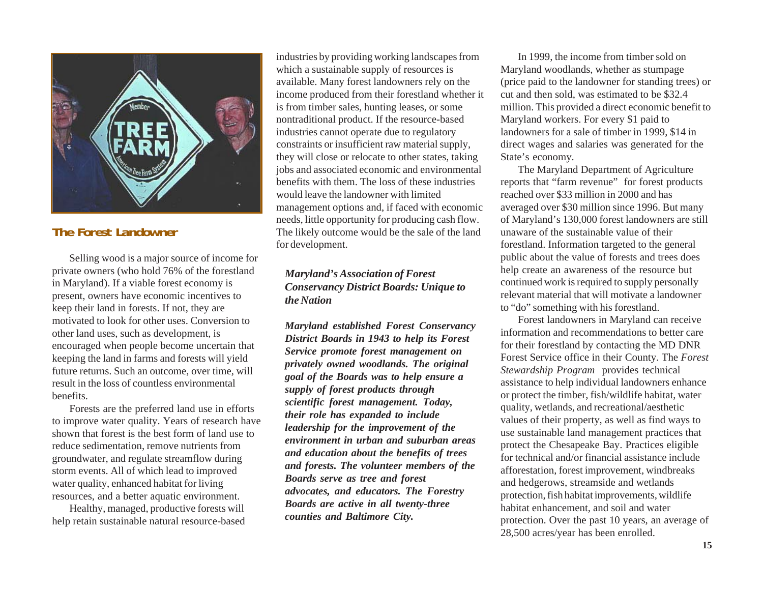

# **The Forest Landowner**

Selling wood is a major source of income for private owners (who hold 76% of the forestland in Maryland). If a viable forest economy is present, owners have economic incentives to keep their land in forests. If not, they are motivated to look for other uses. Conversion to other land uses, such as development, is encouraged when people become uncertain that keeping the land in farms and forests will yield future returns. Such an outcome, over time, will result in the loss of countless environmental benefits.

Forests are the preferred land use in efforts to improve water quality. Years of research have shown that forest is the best form of land use to reduce sedimentation, remove nutrients from groundwater, and regulate streamflow during storm events. All of which lead to improved water quality, enhanced habitat for living resources, and a better aquatic environment.

Healthy, managed, productive forests will help retain sustainable natural resource-based industries by providing working landscapes from which a sustainable supply of resources is available. Many forest landowners rely on the income produced from their forestland whether it is from timber sales, hunting leases, or some nontraditional product. If the resource-based industries cannot operate due to regulatory constraints or insufficient raw material supply, they will close or relocate to other states, taking jobs and associated economic and environmental benefits with them. The loss of these industries would leave the landowner with limited management options and, if faced with economic needs, little opportunity for producing cash flow. The likely outcome would be the sale of the land for development.

### *Maryland's Association of Forest Conservancy District Boards: Unique to the Nation*

*Maryland established Forest Conservancy District Boards in 1943 to help its Forest Service promote forest management on privately owned woodlands. The original goal of the Boards was to help ensure a supply of forest products through scientific forest management. Today, their role has expanded to include leadership for the improvement of the environment in urban and suburban areas and education about the benefits of trees and forests. The volunteer members of the Boards serve as tree and forest advocates, and educators. The Forestry Boards are active in all twenty-three counties and Baltimore City.*

In 1999, the income from timber sold on Maryland woodlands, whether as stumpage (price paid to the landowner for standing trees) or cut and then sold, was estimated to be \$32.4 million. This provided a direct economic benefit to Maryland workers. For every \$1 paid to landowners for a sale of timber in 1999, \$14 in direct wages and salaries was generated for the State's economy.

The Maryland Department of Agriculture reports that "farm revenue" for forest products reached over \$33 million in 2000 and has averaged over \$30 million since 1996. But many of Maryland's 130,000 forest landowners are still unaware of the sustainable value of their forestland. Information targeted to the general public about the value of forests and trees does help create an awareness of the resource but continued work is required to supply personally relevant material that will motivate a landowner to "do" something with his forestland.

Forest landowners in Maryland can receive information and recommendations to better care for their forestland by contacting the MD DNR Forest Service office in their County. The *Forest Stewardship Program* provides technical assistance to help individual landowners enhance or protect the timber, fish/wildlife habitat, water quality, wetlands, and recreational/aesthetic values of their property, as well as find ways to use sustainable land management practices that protect the Chesapeake Bay. Practices eligible for technical and/or financial assistance include afforestation, forest improvement, windbreaks and hedgerows, streamside and wetlands protection, fish habitat improvements, wildlife habitat enhancement, and soil and water protection. Over the past 10 years, an average of 28,500 acres/year has been enrolled.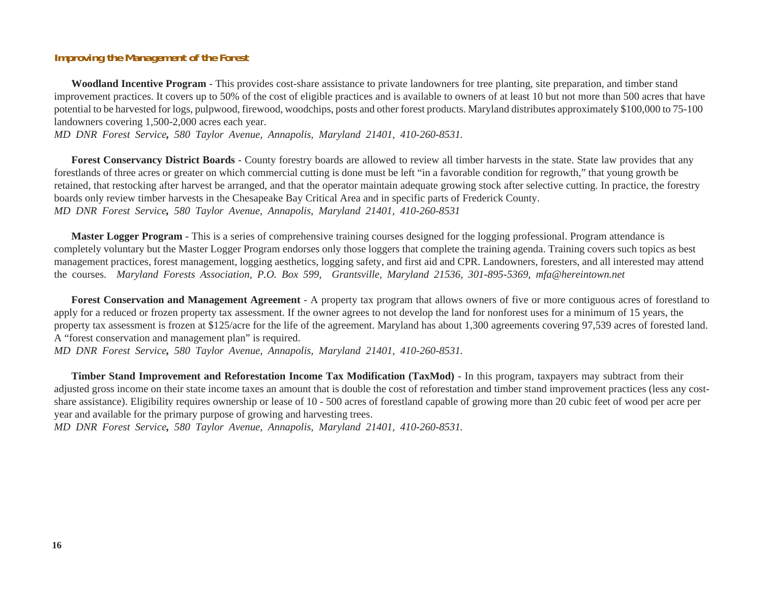### **Improving the Management of the Forest**

**Woodland Incentive Program** - This provides cost-share assistance to private landowners for tree planting, site preparation, and timber stand improvement practices. It covers up to 50% of the cost of eligible practices and is available to owners of at least 10 but not more than 500 acres that have potential to be harvested for logs, pulpwood, firewood, woodchips, posts and other forest products. Maryland distributes approximately \$100,000 to 75-100 landowners covering 1,500-2,000 acres each year.

*MD DNR Forest Service, 580 Taylor Avenue, Annapolis, Maryland 21401, 410-260-8531.*

**Forest Conservancy District Boards** - County forestry boards are allowed to review all timber harvests in the state. State law provides that any forestlands of three acres or greater on which commercial cutting is done must be left "in a favorable condition for regrowth," that young growth be retained, that restocking after harvest be arranged, and that the operator maintain adequate growing stock after selective cutting. In practice, the forestry boards only review timber harvests in the Chesapeake Bay Critical Area and in specific parts of Frederick County. *MD DNR Forest Service, 580 Taylor Avenue, Annapolis, Maryland 21401, 410-260-8531*

**Master Logger Program** - This is a series of comprehensive training courses designed for the logging professional. Program attendance is completely voluntary but the Master Logger Program endorses only those loggers that complete the training agenda. Training covers such topics as best management practices, forest management, logging aesthetics, logging safety, and first aid and CPR. Landowners, foresters, and all interested may attend the courses. *Maryland Forests Association, P.O. Box 599, Grantsville, Maryland 21536, 301-895-5369, mfa@hereintown.net*

**Forest Conservation and Management Agreement** - A property tax program that allows owners of five or more contiguous acres of forestland to apply for a reduced or frozen property tax assessment. If the owner agrees to not develop the land for nonforest uses for a minimum of 15 years, the property tax assessment is frozen at \$125/acre for the life of the agreement. Maryland has about 1,300 agreements covering 97,539 acres of forested land. A "forest conservation and management plan" is required.

*MD DNR Forest Service, 580 Taylor Avenue, Annapolis, Maryland 21401, 410-260-8531.*

**Timber Stand Improvement and Reforestation Income Tax Modification (TaxMod)** - In this program, taxpayers may subtract from their adjusted gross income on their state income taxes an amount that is double the cost of reforestation and timber stand improvement practices (less any costshare assistance). Eligibility requires ownership or lease of 10 - 500 acres of forestland capable of growing more than 20 cubic feet of wood per acre per year and available for the primary purpose of growing and harvesting trees.

*MD DNR Forest Service, 580 Taylor Avenue, Annapolis, Maryland 21401, 410-260-8531.*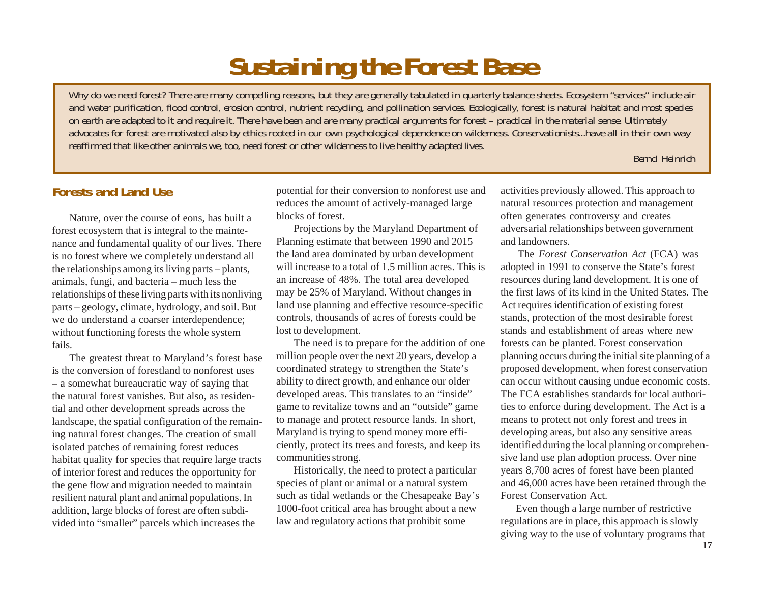# **Sustaining the Forest Base**

*Why do we need forest? There are many compelling reasons, but they are generally tabulated in quarterly balance sheets. Ecosystem "services" include air and water purification, flood control, erosion control, nutrient recycling, and pollination services. Ecologically, forest is natural habitat and most species on earth are adapted to it and require it. There have been and are many practical arguments for forest – practical in the material sense. Ultimately advocates for forest are motivated also by ethics rooted in our own psychological dependence on wilderness. Conservationists...have all in their own way reaffirmed that like other animals we, too, need forest or other wilderness to live healthy adapted lives.*

#### *Bernd Heinrich*

# **Forests and Land Use**

Nature, over the course of eons, has built a forest ecosystem that is integral to the maintenance and fundamental quality of our lives. There is no forest where we completely understand all the relationships among its living parts – plants, animals, fungi, and bacteria – much less the relationships of these living parts with its nonliving parts – geology, climate, hydrology, and soil. But we do understand a coarser interdependence; without functioning forests the whole system fails.

The greatest threat to Maryland's forest base is the conversion of forestland to nonforest uses – a somewhat bureaucratic way of saying that the natural forest vanishes. But also, as residential and other development spreads across the landscape, the spatial configuration of the remaining natural forest changes. The creation of small isolated patches of remaining forest reduces habitat quality for species that require large tracts of interior forest and reduces the opportunity for the gene flow and migration needed to maintain resilient natural plant and animal populations. In addition, large blocks of forest are often subdivided into "smaller" parcels which increases the

potential for their conversion to nonforest use and reduces the amount of actively-managed large blocks of forest.

Projections by the Maryland Department of Planning estimate that between 1990 and 2015 the land area dominated by urban development will increase to a total of 1.5 million acres. This is an increase of 48%. The total area developed may be 25% of Maryland. Without changes in land use planning and effective resource-specific controls, thousands of acres of forests could be lost to development.

The need is to prepare for the addition of one million people over the next 20 years, develop a coordinated strategy to strengthen the State's ability to direct growth, and enhance our older developed areas. This translates to an "inside" game to revitalize towns and an "outside" game to manage and protect resource lands. In short, Maryland is trying to spend money more efficiently, protect its trees and forests, and keep its communities strong.

Historically, the need to protect a particular species of plant or animal or a natural system such as tidal wetlands or the Chesapeake Bay's 1000-foot critical area has brought about a new law and regulatory actions that prohibit some

activities previously allowed. This approach to natural resources protection and management often generates controversy and creates adversarial relationships between government and landowners.

The *Forest Conservation Act* (FCA) was adopted in 1991 to conserve the State's forest resources during land development. It is one of the first laws of its kind in the United States. The Act requires identification of existing forest stands, protection of the most desirable forest stands and establishment of areas where new forests can be planted. Forest conservation planning occurs during the initial site planning of a proposed development, when forest conservation can occur without causing undue economic costs. The FCA establishes standards for local authorities to enforce during development. The Act is a means to protect not only forest and trees in developing areas, but also any sensitive areas identified during the local planning or comprehensive land use plan adoption process. Over nine years 8,700 acres of forest have been planted and 46,000 acres have been retained through the Forest Conservation Act.

Even though a large number of restrictive regulations are in place, this approach is slowly giving way to the use of voluntary programs that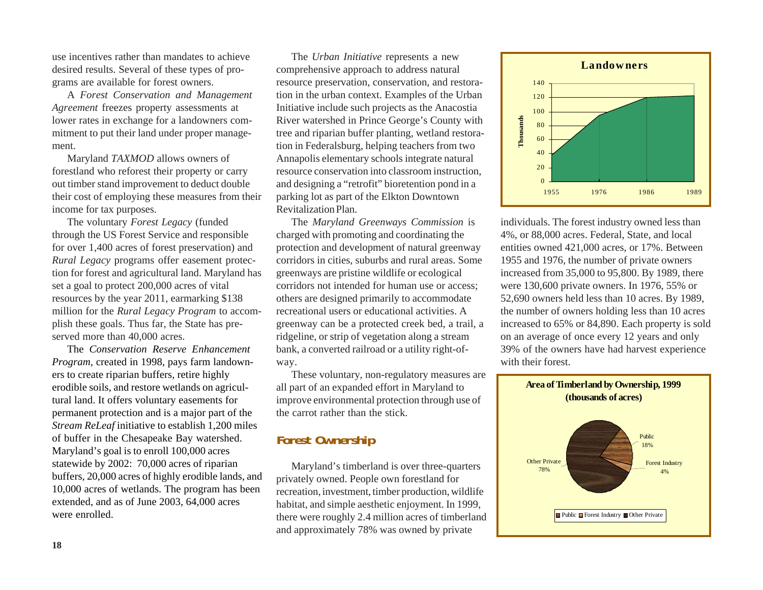use incentives rather than mandates to achieve desired results. Several of these types of programs are available for forest owners.

A *Forest Conservation and Management Agreement* freezes property assessments at lower rates in exchange for a landowners commitment to put their land under proper management.

Maryland *TAXMOD* allows owners of forestland who reforest their property or carry out timber stand improvement to deduct double their cost of employing these measures from their income for tax purposes.

The voluntary *Forest Legacy* (funded through the US Forest Service and responsible for over 1,400 acres of forest preservation) and *Rural Legacy* programs offer easement protection for forest and agricultural land. Maryland has set a goal to protect 200,000 acres of vital resources by the year 2011, earmarking \$138 million for the *Rural Legacy Program* to accomplish these goals. Thus far, the State has preserved more than 40,000 acres.

The *Conservation Reserve Enhancement Program,* created in 1998, pays farm landowners to create riparian buffers, retire highly erodible soils, and restore wetlands on agricultural land. It offers voluntary easements for permanent protection and is a major part of the *Stream ReLeaf* initiative to establish 1,200 miles of buffer in the Chesapeake Bay watershed. Maryland's goal is to enroll 100,000 acres statewide by 2002: 70,000 acres of riparian buffers, 20,000 acres of highly erodible lands, and 10,000 acres of wetlands. The program has been extended, and as of June 2003, 64,000 acres were enrolled.

The *Urban Initiative* represents a new comprehensive approach to address natural resource preservation, conservation, and restoration in the urban context. Examples of the Urban Initiative include such projects as the Anacostia River watershed in Prince George's County with tree and riparian buffer planting, wetland restoration in Federalsburg, helping teachers from two Annapolis elementary schools integrate natural resource conservation into classroom instruction, and designing a "retrofit" bioretention pond in a parking lot as part of the Elkton Downtown Revitalization Plan.

The *Maryland Greenways Commission* is charged with promoting and coordinating the protection and development of natural greenway corridors in cities, suburbs and rural areas. Some greenways are pristine wildlife or ecological corridors not intended for human use or access; others are designed primarily to accommodate recreational users or educational activities. A greenway can be a protected creek bed, a trail, a ridgeline, or strip of vegetation along a stream bank, a converted railroad or a utility right-ofway.

These voluntary, non-regulatory measures are all part of an expanded effort in Maryland to improve environmental protection through use of the carrot rather than the stick.

## **Forest Ownership**

Maryland's timberland is over three-quarters privately owned. People own forestland for recreation, investment, timber production, wildlife habitat, and simple aesthetic enjoyment. In 1999, there were roughly 2.4 million acres of timberland and approximately 78% was owned by private



individuals. The forest industry owned less than 4%, or 88,000 acres. Federal, State, and local entities owned 421,000 acres, or 17%. Between 1955 and 1976, the number of private owners increased from 35,000 to 95,800. By 1989, there were 130,600 private owners. In 1976, 55% or 52,690 owners held less than 10 acres. By 1989, the number of owners holding less than 10 acres increased to 65% or 84,890. Each property is sold on an average of once every 12 years and only 39% of the owners have had harvest experience with their forest.

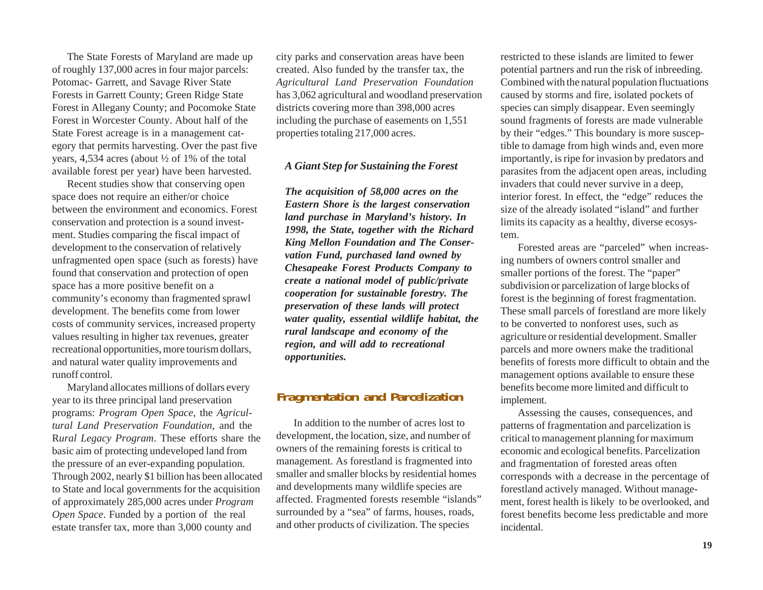The State Forests of Maryland are made up of roughly 137,000 acres in four major parcels: Potomac- Garrett, and Savage River State Forests in Garrett County; Green Ridge State Forest in Allegany County; and Pocomoke State Forest in Worcester County. About half of the State Forest acreage is in a management category that permits harvesting. Over the past five years, 4,534 acres (about ½ of 1% of the total available forest per year) have been harvested.

Recent studies show that conserving open space does not require an either/or choice between the environment and economics. Forest conservation and protection is a sound investment. Studies comparing the fiscal impact of development to the conservation of relatively unfragmented open space (such as forests) have found that conservation and protection of open space has a more positive benefit on a community's economy than fragmented sprawl development. The benefits come from lower costs of community services, increased property values resulting in higher tax revenues, greater recreational opportunities, more tourism dollars, and natural water quality improvements and runoff control.

Maryland allocates millions of dollars every year to its three principal land preservation programs: *Program Open Space*, the *Agricultural Land Preservation Foundation*, and the R*ural Legacy Program*. These efforts share the basic aim of protecting undeveloped land from the pressure of an ever-expanding population. Through 2002, nearly \$1 billion has been allocated to State and local governments for the acquisition of approximately 285,000 acres under *Program Open Space*. Funded by a portion of the real estate transfer tax, more than 3,000 county and

city parks and conservation areas have been created. Also funded by the transfer tax, the *Agricultural Land Preservation Foundation* has 3,062 agricultural and woodland preservation districts covering more than 398,000 acres including the purchase of easements on 1,551 properties totaling 217,000 acres.

#### *A Giant Step for Sustaining the Forest*

*The acquisition of 58,000 acres on the Eastern Shore is the largest conservation land purchase in Maryland's history. In 1998, the State, together with the Richard King Mellon Foundation and The Conservation Fund, purchased land owned by Chesapeake Forest Products Company to create a national model of public/private cooperation for sustainable forestry. The preservation of these lands will protect water quality, essential wildlife habitat, the rural landscape and economy of the region, and will add to recreational opportunities.*

## **Fragmentation and Parcelization**

In addition to the number of acres lost to development, the location, size, and number of owners of the remaining forests is critical to management. As forestland is fragmented into smaller and smaller blocks by residential homes and developments many wildlife species are affected. Fragmented forests resemble "islands" surrounded by a "sea" of farms, houses, roads, and other products of civilization. The species

restricted to these islands are limited to fewer potential partners and run the risk of inbreeding. Combined with the natural population fluctuations caused by storms and fire, isolated pockets of species can simply disappear. Even seemingly sound fragments of forests are made vulnerable by their "edges." This boundary is more susceptible to damage from high winds and, even more importantly, is ripe for invasion by predators and parasites from the adjacent open areas, including invaders that could never survive in a deep, interior forest. In effect, the "edge" reduces the size of the already isolated "island" and further limits its capacity as a healthy, diverse ecosystem.

Forested areas are "parceled" when increasing numbers of owners control smaller and smaller portions of the forest. The "paper" subdivision or parcelization of large blocks of forest is the beginning of forest fragmentation. These small parcels of forestland are more likely to be converted to nonforest uses, such as agriculture or residential development. Smaller parcels and more owners make the traditional benefits of forests more difficult to obtain and the management options available to ensure these benefits become more limited and difficult to implement.

Assessing the causes, consequences, and patterns of fragmentation and parcelization is critical to management planning for maximum economic and ecological benefits. Parcelization and fragmentation of forested areas often corresponds with a decrease in the percentage of forestland actively managed. Without management, forest health is likely to be overlooked, and forest benefits become less predictable and more incidental.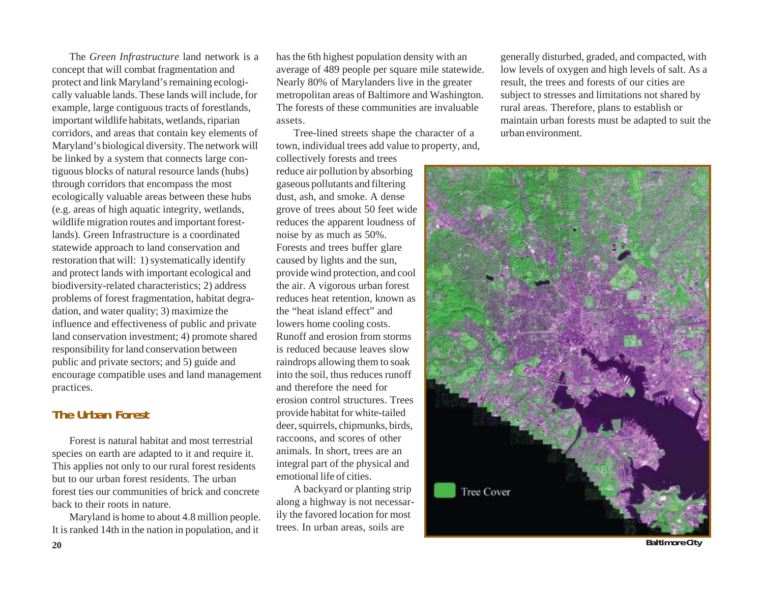The *Green Infrastructure* land network is a concept that will combat fragmentation and protect and link Maryland's remaining ecologically valuable lands. These lands will include, for example, large contiguous tracts of forestlands, important wildlife habitats, wetlands, riparian corridors, and areas that contain key elements of Maryland's biological diversity. The network will be linked by a system that connects large contiguous blocks of natural resource lands (hubs) through corridors that encompass the most ecologically valuable areas between these hubs (e.g. areas of high aquatic integrity, wetlands, wildlife migration routes and important forestlands). Green Infrastructure is a coordinated statewide approach to land conservation and restoration that will: 1) systematically identify and protect lands with important ecological and biodiversity-related characteristics; 2) address problems of forest fragmentation, habitat degradation, and water quality; 3) maximize the influence and effectiveness of public and private land conservation investment; 4) promote shared responsibility for land conservation between public and private sectors; and 5) guide and encourage compatible uses and land management practices.

# **The Urban Forest**

Forest is natural habitat and most terrestrial species on earth are adapted to it and require it. This applies not only to our rural forest residents but to our urban forest residents. The urban forest ties our communities of brick and concrete back to their roots in nature.

Maryland is home to about 4.8 million people. It is ranked 14th in the nation in population, and it

has the 6th highest population density with an average of 489 people per square mile statewide. Nearly 80% of Marylanders live in the greater metropolitan areas of Baltimore and Washington. The forests of these communities are invaluable assets.

Tree-lined streets shape the character of a town, individual trees add value to property, and,

collectively forests and trees reduce air pollution by absorbing gaseous pollutants and filtering dust, ash, and smoke. A dense grove of trees about 50 feet wide reduces the apparent loudness of noise by as much as 50%. Forests and trees buffer glare caused by lights and the sun, provide wind protection, and cool the air. A vigorous urban forest reduces heat retention, known as the "heat island effect" and lowers home cooling costs. Runoff and erosion from storms is reduced because leaves slow raindrops allowing them to soak into the soil, thus reduces runoff and therefore the need for erosion control structures. Trees provide habitat for white-tailed deer, squirrels, chipmunks, birds, raccoons, and scores of other animals. In short, trees are an integral part of the physical and emotional life of cities.

A backyard or planting strip along a highway is not necessarily the favored location for most trees. In urban areas, soils are

generally disturbed, graded, and compacted, with low levels of oxygen and high levels of salt. As a result, the trees and forests of our cities are subject to stresses and limitations not shared by rural areas. Therefore, plans to establish or maintain urban forests must be adapted to suit the urban environment.



**Baltimore City**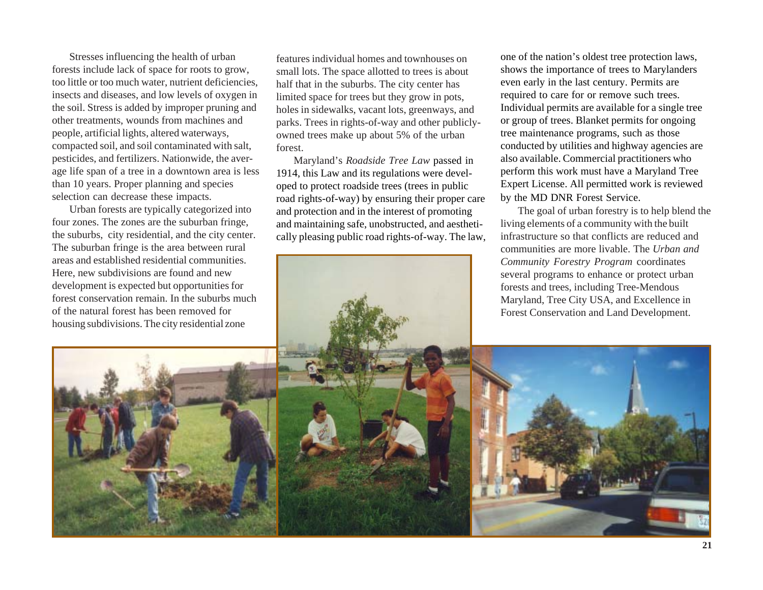Stresses influencing the health of urban forests include lack of space for roots to grow, too little or too much water, nutrient deficiencies, insects and diseases, and low levels of oxygen in the soil. Stress is added by improper pruning and other treatments, wounds from machines and people, artificial lights, altered waterways, compacted soil, and soil contaminated with salt, pesticides, and fertilizers. Nationwide, the average life span of a tree in a downtown area is less than 10 years. Proper planning and species selection can decrease these impacts.

Urban forests are typically categorized into four zones. The zones are the suburban fringe, the suburbs, city residential, and the city center. The suburban fringe is the area between rural areas and established residential communities. Here, new subdivisions are found and new development is expected but opportunities for forest conservation remain. In the suburbs much of the natural forest has been removed for housing subdivisions. The city residential zone

features individual homes and townhouses on small lots. The space allotted to trees is about half that in the suburbs. The city center has limited space for trees but they grow in pots, holes in sidewalks, vacant lots, greenways, and parks. Trees in rights-of-way and other publiclyowned trees make up about 5% of the urban forest.

Maryland's *Roadside Tree Law* passed in 1914, this Law and its regulations were developed to protect roadside trees (trees in public road rights-of-way) by ensuring their proper care and protection and in the interest of promoting and maintaining safe, unobstructed, and aesthetically pleasing public road rights-of-way. The law,

one of the nation's oldest tree protection laws, shows the importance of trees to Marylanders even early in the last century. Permits are required to care for or remove such trees. Individual permits are available for a single tree or group of trees. Blanket permits for ongoing tree maintenance programs, such as those conducted by utilities and highway agencies are also available. Commercial practitioners who perform this work must have a Maryland Tree Expert License. All permitted work is reviewed by the MD DNR Forest Service.

The goal of urban forestry is to help blend the living elements of a community with the built infrastructure so that conflicts are reduced and communities are more livable. The *Urban and Community Forestry Program* coordinates several programs to enhance or protect urban forests and trees, including Tree-Mendous Maryland, Tree City USA, and Excellence in Forest Conservation and Land Development.

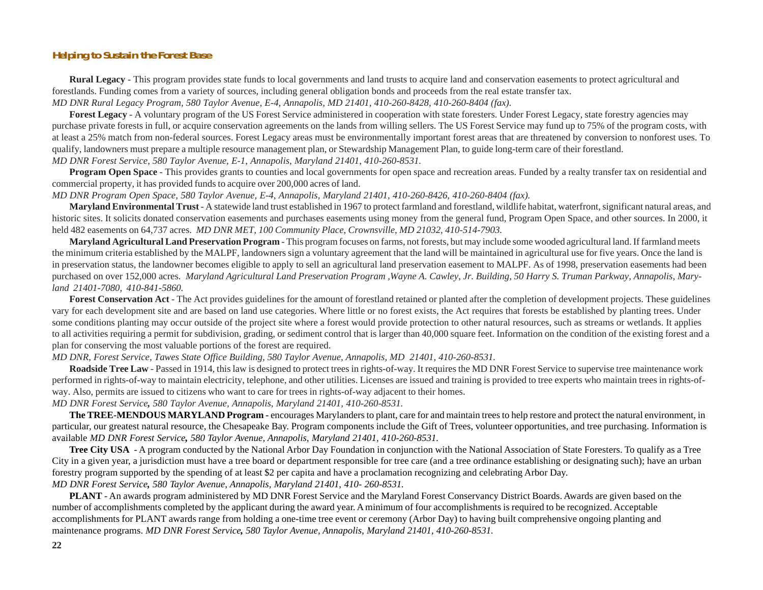#### **Helping to Sustain the Forest Base**

**Rural Legacy** - This program provides state funds to local governments and land trusts to acquire land and conservation easements to protect agricultural and forestlands. Funding comes from a variety of sources, including general obligation bonds and proceeds from the real estate transfer tax.

*MD DNR Rural Legacy Program, 580 Taylor Avenue, E-4, Annapolis, MD 21401, 410-260-8428, 410-260-8404 (fax).*

**Forest Legacy** - A voluntary program of the US Forest Service administered in cooperation with state foresters. Under Forest Legacy, state forestry agencies may purchase private forests in full, or acquire conservation agreements on the lands from willing sellers. The US Forest Service may fund up to 75% of the program costs, with at least a 25% match from non-federal sources. Forest Legacy areas must be environmentally important forest areas that are threatened by conversion to nonforest uses. To qualify, landowners must prepare a multiple resource management plan, or Stewardship Management Plan, to guide long-term care of their forestland. *MD DNR Forest Service, 580 Taylor Avenue, E-1, Annapolis, Maryland 21401, 410-260-8531.*

**Program Open Space** - This provides grants to counties and local governments for open space and recreation areas. Funded by a realty transfer tax on residential and commercial property, it has provided funds to acquire over 200,000 acres of land.

*MD DNR Program Open Space, 580 Taylor Avenue, E-4, Annapolis, Maryland 21401, 410-260-8426, 410-260-8404 (fax).*

**Maryland Environmental Trust** - A statewide land trust established in 1967 to protect farmland and forestland, wildlife habitat, waterfront, significant natural areas, and historic sites. It solicits donated conservation easements and purchases easements using money from the general fund, Program Open Space, and other sources. In 2000, it held 482 easements on 64,737 acres. *MD DNR MET, 100 Community Place, Crownsville, MD 21032, 410-514-7903.*

**Maryland Agricultural Land Preservation Program** - This program focuses on farms, not forests, but may include some wooded agricultural land. If farmland meets the minimum criteria established by the MALPF, landowners sign a voluntary agreement that the land will be maintained in agricultural use for five years. Once the land is in preservation status, the landowner becomes eligible to apply to sell an agricultural land preservation easement to MALPF. As of 1998, preservation easements had been purchased on over 152,000 acres. *Maryland Agricultural Land Preservation Program ,Wayne A. Cawley, Jr. Building, 50 Harry S. Truman Parkway, Annapolis, Maryland 21401-7080, 410-841-5860.*

**Forest Conservation Act** - The Act provides guidelines for the amount of forestland retained or planted after the completion of development projects. These guidelines vary for each development site and are based on land use categories. Where little or no forest exists, the Act requires that forests be established by planting trees. Under some conditions planting may occur outside of the project site where a forest would provide protection to other natural resources, such as streams or wetlands. It applies to all activities requiring a permit for subdivision, grading, or sediment control that is larger than 40,000 square feet. Information on the condition of the existing forest and a plan for conserving the most valuable portions of the forest are required.

*MD DNR, Forest Service, Tawes State Office Building, 580 Taylor Avenue, Annapolis, MD 21401, 410-260-8531.*

**Roadside Tree Law** - Passed in 1914, this law is designed to protect trees in rights-of-way. It requires the MD DNR Forest Service to supervise tree maintenance work performed in rights-of-way to maintain electricity, telephone, and other utilities. Licenses are issued and training is provided to tree experts who maintain trees in rights-ofway. Also, permits are issued to citizens who want to care for trees in rights-of-way adjacent to their homes.

*MD DNR Forest Service, 580 Taylor Avenue, Annapolis, Maryland 21401, 410-260-8531.*

**The TREE-MENDOUS MARYLAND Program -** encourages Marylanders to plant, care for and maintain trees to help restore and protect the natural environment, in particular, our greatest natural resource, the Chesapeake Bay. Program components include the Gift of Trees, volunteer opportunities, and tree purchasing. Information is available *MD DNR Forest Service, 580 Taylor Avenue, Annapolis, Maryland 21401, 410-260-8531.*

**Tree City USA** - A program conducted by the National Arbor Day Foundation in conjunction with the National Association of State Foresters. To qualify as a Tree City in a given year, a jurisdiction must have a tree board or department responsible for tree care (and a tree ordinance establishing or designating such); have an urban forestry program supported by the spending of at least \$2 per capita and have a proclamation recognizing and celebrating Arbor Day. *MD DNR Forest Service, 580 Taylor Avenue, Annapolis, Maryland 21401, 410- 260-8531.*

**PLANT** - An awards program administered by MD DNR Forest Service and the Maryland Forest Conservancy District Boards. Awards are given based on the number of accomplishments completed by the applicant during the award year. A minimum of four accomplishments is required to be recognized. Acceptable accomplishments for PLANT awards range from holding a one-time tree event or ceremony (Arbor Day) to having built comprehensive ongoing planting and maintenance programs. *MD DNR Forest Service, 580 Taylor Avenue, Annapolis, Maryland 21401, 410-260-8531.*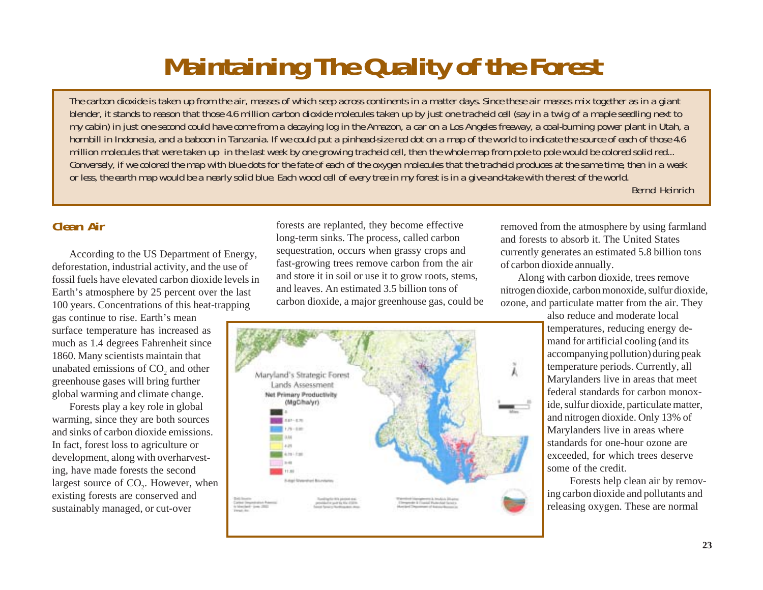# **Maintaining The Quality of the Forest**

*The carbon dioxide is taken up from the air, masses of which seep across continents in a matter days. Since these air masses mix together as in a giant blender, it stands to reason that those 4.6 million carbon dioxide molecules taken up by just one tracheid cell (say in a twig of a maple seedling next to my cabin) in just one second could have come from a decaying log in the Amazon, a car on a Los Angeles freeway, a coal-burning power plant in Utah, a hornbill in Indonesia, and a baboon in Tanzania. If we could put a pinhead-size red dot on a map of the world to indicate the source of each of those 4.6 million molecules that were taken up in the last week by one growing tracheid cell, then the whole map from pole to pole would be colored solid red... Conversely, if we colored the map with blue dots for the fate of each of the oxygen molecules that the tracheid produces at the same time, then in a week or less, the earth map would be a nearly solid blue. Each wood cell of every tree in my forest is in a give-and-take with the rest of the world.*

*Bernd Heinrich*

# **Clean Air**

According to the US Department of Energy, deforestation, industrial activity, and the use of fossil fuels have elevated carbon dioxide levels in Earth's atmosphere by 25 percent over the last 100 years. Concentrations of this heat-trapping

gas continue to rise. Earth's mean surface temperature has increased as much as 1.4 degrees Fahrenheit since 1860. Many scientists maintain that unabated emissions of  $CO<sub>2</sub>$  and other greenhouse gases will bring further global warming and climate change.

Forests play a key role in global warming, since they are both sources and sinks of carbon dioxide emissions. In fact, forest loss to agriculture or development, along with overharvesting, have made forests the second largest source of CO<sub>2</sub>. However, when existing forests are conserved and sustainably managed, or cut-over

forests are replanted, they become effective long-term sinks. The process, called carbon sequestration, occurs when grassy crops and fast-growing trees remove carbon from the air and store it in soil or use it to grow roots, stems, and leaves. An estimated 3.5 billion tons of carbon dioxide, a major greenhouse gas, could be



removed from the atmosphere by using farmland and forests to absorb it. The United States currently generates an estimated 5.8 billion tons of carbon dioxide annually.

Along with carbon dioxide, trees remove nitrogen dioxide, carbon monoxide, sulfur dioxide, ozone, and particulate matter from the air. They

> also reduce and moderate local temperatures, reducing energy demand for artificial cooling (and its accompanying pollution) during peak temperature periods. Currently, all Marylanders live in areas that meet federal standards for carbon monoxide, sulfur dioxide, particulate matter, and nitrogen dioxide. Only 13% of Marylanders live in areas where standards for one-hour ozone are exceeded, for which trees deserve some of the credit.

Forests help clean air by removing carbon dioxide and pollutants and releasing oxygen. These are normal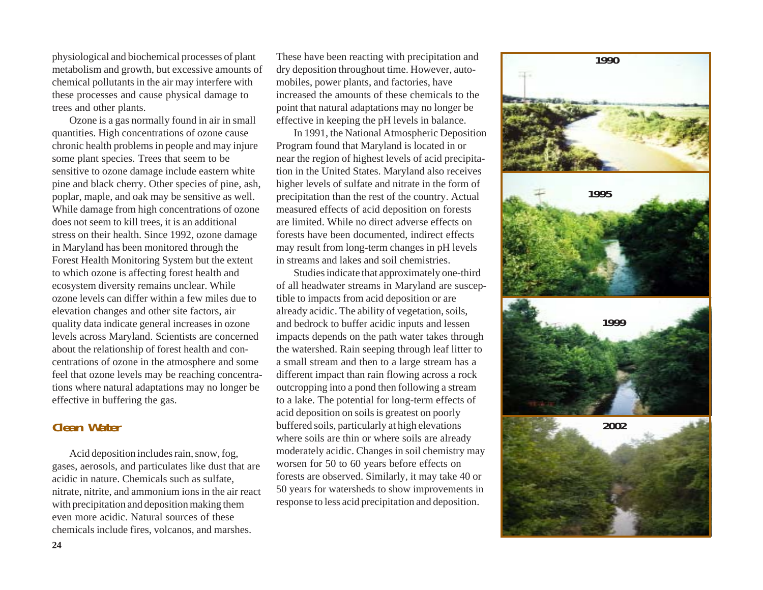physiological and biochemical processes of plant metabolism and growth, but excessive amounts of chemical pollutants in the air may interfere with these processes and cause physical damage to trees and other plants.

Ozone is a gas normally found in air in small quantities. High concentrations of ozone cause chronic health problems in people and may injure some plant species. Trees that seem to be sensitive to ozone damage include eastern white pine and black cherry. Other species of pine, ash, poplar, maple, and oak may be sensitive as well. While damage from high concentrations of ozone does not seem to kill trees, it is an additional stress on their health. Since 1992, ozone damage in Maryland has been monitored through the Forest Health Monitoring System but the extent to which ozone is affecting forest health and ecosystem diversity remains unclear. While ozone levels can differ within a few miles due to elevation changes and other site factors, air quality data indicate general increases in ozone levels across Maryland. Scientists are concerned about the relationship of forest health and concentrations of ozone in the atmosphere and some feel that ozone levels may be reaching concentrations where natural adaptations may no longer be effective in buffering the gas.

# **Clean Water**

Acid deposition includes rain, snow, fog, gases, aerosols, and particulates like dust that are acidic in nature. Chemicals such as sulfate, nitrate, nitrite, and ammonium ions in the air react with precipitation and deposition making them even more acidic. Natural sources of these chemicals include fires, volcanos, and marshes.

These have been reacting with precipitation and dry deposition throughout time. However, automobiles, power plants, and factories, have increased the amounts of these chemicals to the point that natural adaptations may no longer be effective in keeping the pH levels in balance.

In 1991, the National Atmospheric Deposition Program found that Maryland is located in or near the region of highest levels of acid precipitation in the United States. Maryland also receives higher levels of sulfate and nitrate in the form of precipitation than the rest of the country. Actual measured effects of acid deposition on forests are limited. While no direct adverse effects on forests have been documented, indirect effects may result from long-term changes in pH levels in streams and lakes and soil chemistries.

Studies indicate that approximately one-third of all headwater streams in Maryland are susceptible to impacts from acid deposition or are already acidic. The ability of vegetation, soils, and bedrock to buffer acidic inputs and lessen impacts depends on the path water takes through the watershed. Rain seeping through leaf litter to a small stream and then to a large stream has a different impact than rain flowing across a rock outcropping into a pond then following a stream to a lake. The potential for long-term effects of acid deposition on soils is greatest on poorly buffered soils, particularly at high elevations where soils are thin or where soils are already moderately acidic. Changes in soil chemistry may worsen for 50 to 60 years before effects on forests are observed. Similarly, it may take 40 or 50 years for watersheds to show improvements in response to less acid precipitation and deposition.

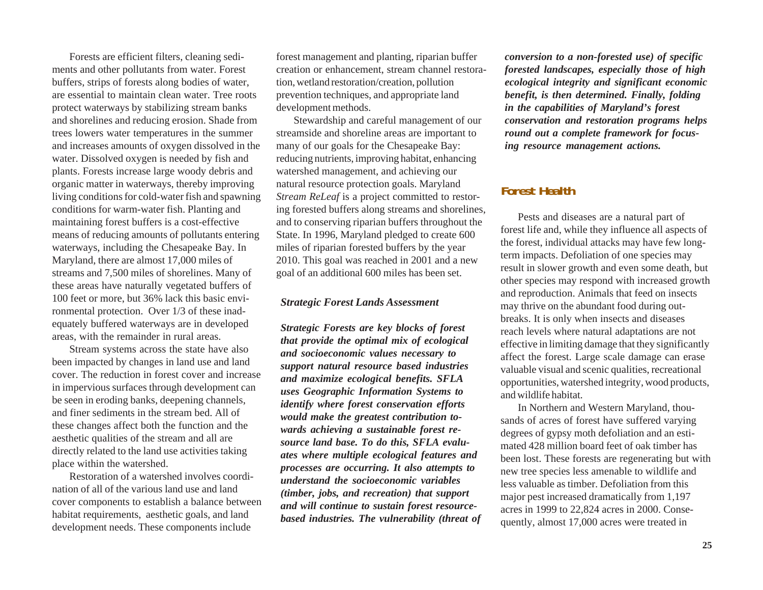Forests are efficient filters, cleaning sediments and other pollutants from water. Forest buffers, strips of forests along bodies of water, are essential to maintain clean water. Tree roots protect waterways by stabilizing stream banks and shorelines and reducing erosion. Shade from trees lowers water temperatures in the summer and increases amounts of oxygen dissolved in the water. Dissolved oxygen is needed by fish and plants. Forests increase large woody debris and organic matter in waterways, thereby improving living conditions for cold-water fish and spawning conditions for warm-water fish. Planting and maintaining forest buffers is a cost-effective means of reducing amounts of pollutants entering waterways, including the Chesapeake Bay. In Maryland, there are almost 17,000 miles of streams and 7,500 miles of shorelines. Many of these areas have naturally vegetated buffers of 100 feet or more, but 36% lack this basic environmental protection. Over 1/3 of these inadequately buffered waterways are in developed areas, with the remainder in rural areas.

Stream systems across the state have also been impacted by changes in land use and land cover. The reduction in forest cover and increase in impervious surfaces through development can be seen in eroding banks, deepening channels, and finer sediments in the stream bed. All of these changes affect both the function and the aesthetic qualities of the stream and all are directly related to the land use activities taking place within the watershed.

Restoration of a watershed involves coordination of all of the various land use and land cover components to establish a balance between habitat requirements, aesthetic goals, and land development needs. These components include

forest management and planting, riparian buffer creation or enhancement, stream channel restoration, wetland restoration/creation, pollution prevention techniques, and appropriate land development methods.

Stewardship and careful management of our streamside and shoreline areas are important to many of our goals for the Chesapeake Bay: reducing nutrients, improving habitat, enhancing watershed management, and achieving our natural resource protection goals. Maryland *Stream ReLeaf* is a project committed to restoring forested buffers along streams and shorelines, and to conserving riparian buffers throughout the State. In 1996, Maryland pledged to create 600 miles of riparian forested buffers by the year 2010. This goal was reached in 2001 and a new goal of an additional 600 miles has been set.

#### *Strategic Forest Lands Assessment*

*Strategic Forests are key blocks of forest that provide the optimal mix of ecological and socioeconomic values necessary to support natural resource based industries and maximize ecological benefits. SFLA uses Geographic Information Systems to identify where forest conservation efforts would make the greatest contribution towards achieving a sustainable forest resource land base. To do this, SFLA evaluates where multiple ecological features and processes are occurring. It also attempts to understand the socioeconomic variables (timber, jobs, and recreation) that support and will continue to sustain forest resourcebased industries. The vulnerability (threat of* *conversion to a non-forested use) of specific forested landscapes, especially those of high ecological integrity and significant economic benefit, is then determined. Finally, folding in the capabilities of Maryland's forest conservation and restoration programs helps round out a complete framework for focusing resource management actions.*

## **Forest Health**

Pests and diseases are a natural part of forest life and, while they influence all aspects of the forest, individual attacks may have few longterm impacts. Defoliation of one species may result in slower growth and even some death, but other species may respond with increased growth and reproduction. Animals that feed on insects may thrive on the abundant food during outbreaks. It is only when insects and diseases reach levels where natural adaptations are not effective in limiting damage that they significantly affect the forest. Large scale damage can erase valuable visual and scenic qualities, recreational opportunities, watershed integrity, wood products, and wildlife habitat.

In Northern and Western Maryland, thousands of acres of forest have suffered varying degrees of gypsy moth defoliation and an estimated 428 million board feet of oak timber has been lost. These forests are regenerating but with new tree species less amenable to wildlife and less valuable as timber. Defoliation from this major pest increased dramatically from 1,197 acres in 1999 to 22,824 acres in 2000. Consequently, almost 17,000 acres were treated in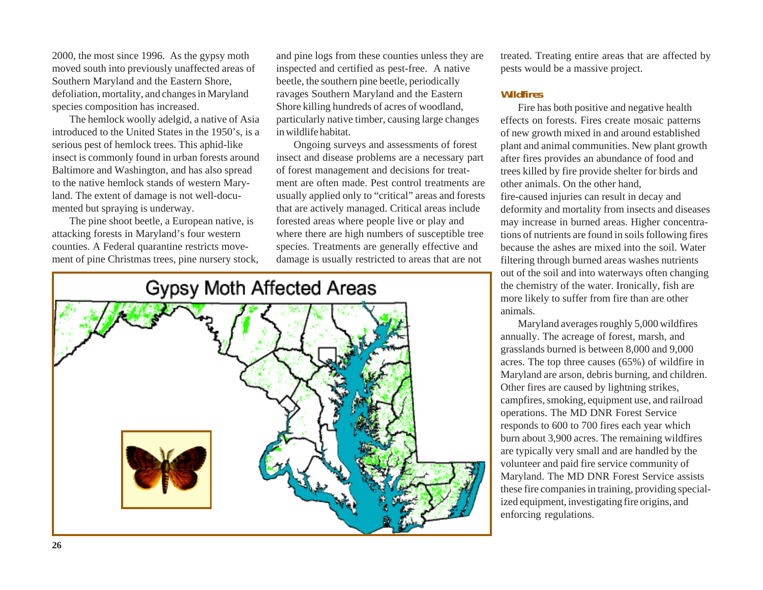2000, the most since 1996. As the gypsy moth moved south into previously unaffected areas of Southern Maryland and the Eastern Shore, defoliation, mortality, and changes in Maryland species composition has increased.

The hemlock woolly adelgid, a native of Asia introduced to the United States in the 1950's, is a serious pest of hemlock trees. This aphid-like insect is commonly found in urban forests around Baltimore and Washington, and has also spread to the native hemlock stands of western Maryland. The extent of damage is not well-documented but spraying is underway.

The pine shoot beetle*,* a European native, is attacking forests in Maryland's four western counties. A Federal quarantine restricts movement of pine Christmas trees, pine nursery stock,

and pine logs from these counties unless they are inspected and certified as pest-free. A native beetle, the southern pine beetle, periodically ravages Southern Maryland and the Eastern Shore killing hundreds of acres of woodland, particularly native timber, causing large changes in wildlife habitat.

Ongoing surveys and assessments of forest insect and disease problems are a necessary part of forest management and decisions for treatment are often made. Pest control treatments are usually applied only to "critical" areas and forests that are actively managed. Critical areas include forested areas where people live or play and where there are high numbers of susceptible tree species. Treatments are generally effective and damage is usually restricted to areas that are not



treated. Treating entire areas that are affected by pests would be a massive project.

### **Wildfires**

Fire has both positive and negative health effects on forests. Fires create mosaic patterns of new growth mixed in and around established plant and animal communities. New plant growth after fires provides an abundance of food and trees killed by fire provide shelter for birds and other animals. On the other hand, fire-caused injuries can result in decay and deformity and mortality from insects and diseases may increase in burned areas. Higher concentrations of nutrients are found in soils following fires because the ashes are mixed into the soil. Water filtering through burned areas washes nutrients out of the soil and into waterways often changing the chemistry of the water. Ironically, fish are more likely to suffer from fire than are other animals.

Maryland averages roughly 5,000 wildfires annually. The acreage of forest, marsh, and grasslands burned is between 8,000 and 9,000 acres. The top three causes (65%) of wildfire in Maryland are arson, debris burning, and children. Other fires are caused by lightning strikes, campfires, smoking, equipment use, and railroad operations. The MD DNR Forest Service responds to 600 to 700 fires each year which burn about 3,900 acres. The remaining wildfires are typically very small and are handled by the volunteer and paid fire service community of Maryland. The MD DNR Forest Service assists these fire companies in training, providing specialized equipment, investigating fire origins, and enforcing regulations.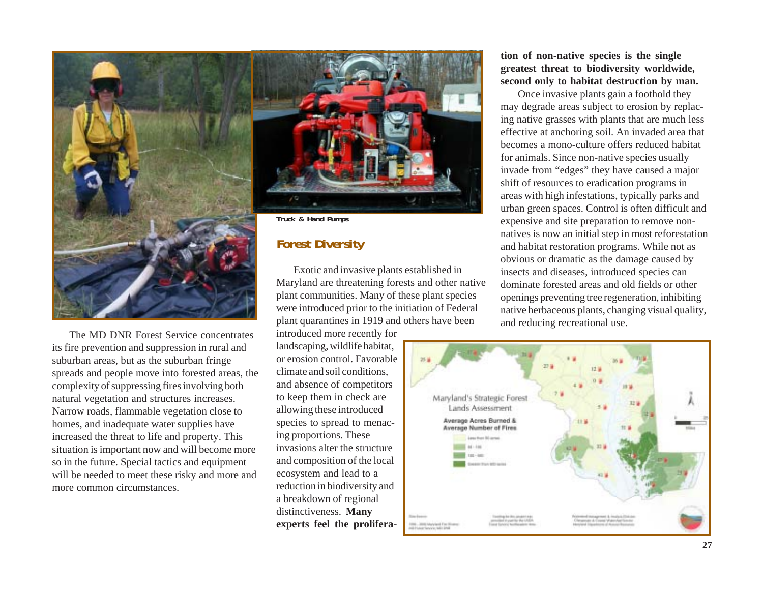

The MD DNR Forest Service concentrates its fire prevention and suppression in rural and suburban areas, but as the suburban fringe spreads and people move into forested areas, the complexity of suppressing fires involving both natural vegetation and structures increases. Narrow roads, flammable vegetation close to homes, and inadequate water supplies have increased the threat to life and property. This situation is important now and will become more so in the future. Special tactics and equipment will be needed to meet these risky and more and more common circumstances.

plant quarantines in 1919 and others have been introduced more recently for landscaping, wildlife habitat, or erosion control. Favorable climate and soil conditions, and absence of competitors to keep them in check are allowing these introduced species to spread to menacing proportions. These invasions alter the structure and composition of the local ecosystem and lead to a reduction in biodiversity and a breakdown of regional distinctiveness. **Many experts feel the prolifera-**

were introduced prior to the initiation of Federal

#### **tion of non-native species is the single greatest threat to biodiversity worldwide, second only to habitat destruction by man.**

Once invasive plants gain a foothold they may degrade areas subject to erosion by replac ing native grasses with plants that are much less effective at anchoring soil. An invaded area that becomes a mono-culture offers reduced habitat for animals. Since non-native species usually invade from "edges" they have caused a major shift of resources to eradication programs in areas with high infestations, typically parks and urban green spaces. Control is often difficult and expensive and site preparation to remove non natives is now an initial step in most reforestation and habitat restoration programs. While not as obvious or dramatic as the damage caused by insects and diseases, introduced species can dominate forested areas and old fields or other openings preventing tree regeneration, inhibiting native herbaceous plants, changing visual quality,

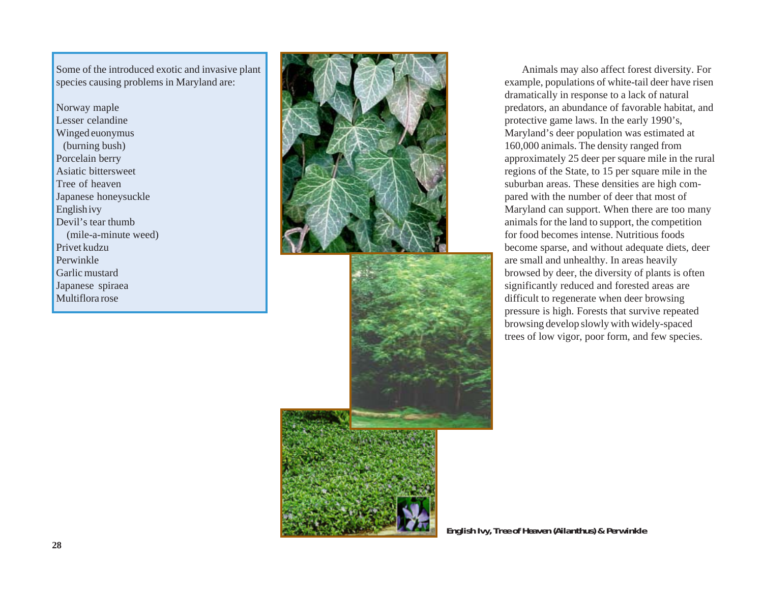Some of the introduced exotic and invasive plant species causing problems in Maryland are:

Norway maple Lesser celandine Winged euonymus (burning bush) Porcelain berry Asiatic bittersweet Tree of heaven Japanese honeysuckle English ivy Devil's tear thumb (mile-a-minute weed) Privet kudzu Perwinkle Garlic mustard Japanese spiraea Multiflora rose





Animals may also affect forest diversity. For example, populations of white-tail deer have risen dramatically in response to a lack of natural predators, an abundance of favorable habitat, and protective game laws. In the early 1990's, Maryland's deer population was estimated at 160,000 animals. The density ranged from approximately 25 deer per square mile in the rural regions of the State, to 15 per square mile in the suburban areas. These densities are high compared with the number of deer that most of Maryland can support. When there are too many animals for the land to support, the competition for food becomes intense. Nutritious foods become sparse, and without adequate diets, deer are small and unhealthy. In areas heavily browsed by deer, the diversity of plants is often significantly reduced and forested areas are difficult to regenerate when deer browsing pressure is high. Forests that survive repeated browsing develop slowly with widely-spaced trees of low vigor, poor form, and few species.

**English Ivy, Tree of Heaven (Ailanthus) & Perwinkle**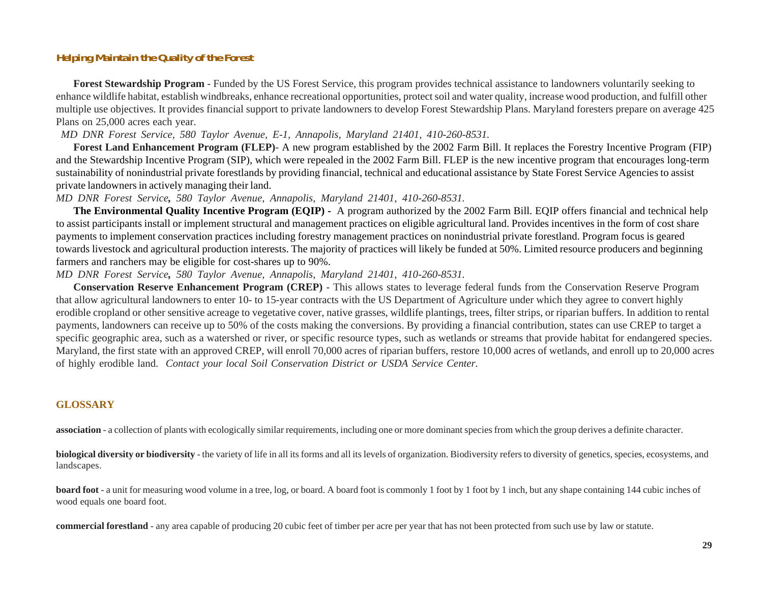### **Helping Maintain the Quality of the Forest**

**Forest Stewardship Program** - Funded by the US Forest Service, this program provides technical assistance to landowners voluntarily seeking to enhance wildlife habitat, establish windbreaks, enhance recreational opportunities, protect soil and water quality, increase wood production, and fulfill other multiple use objectives. It provides financial support to private landowners to develop Forest Stewardship Plans. Maryland foresters prepare on average 425 Plans on 25,000 acres each year.

*MD DNR Forest Service, 580 Taylor Avenue, E-1, Annapolis, Maryland 21401, 410-260-8531.*

**Forest Land Enhancement Program (FLEP)**- A new program established by the 2002 Farm Bill. It replaces the Forestry Incentive Program (FIP) and the Stewardship Incentive Program (SIP), which were repealed in the 2002 Farm Bill. FLEP is the new incentive program that encourages long-term sustainability of nonindustrial private forestlands by providing financial, technical and educational assistance by State Forest Service Agencies to assist private landowners in actively managing their land.

*MD DNR Forest Service, 580 Taylor Avenue, Annapolis, Maryland 21401, 410-260-8531.*

**The Environmental Quality Incentive Program (EQIP) -** A program authorized by the 2002 Farm Bill. EQIP offers financial and technical help to assist participants install or implement structural and management practices on eligible agricultural land. Provides incentives in the form of cost share payments to implement conservation practices including forestry management practices on nonindustrial private forestland. Program focus is geared towards livestock and agricultural production interests. The majority of practices will likely be funded at 50%. Limited resource producers and beginning farmers and ranchers may be eligible for cost-shares up to 90%.

*MD DNR Forest Service, 580 Taylor Avenue, Annapolis, Maryland 21401, 410-260-8531.*

**Conservation Reserve Enhancement Program (CREP)** - This allows states to leverage federal funds from the Conservation Reserve Program that allow agricultural landowners to enter 10- to 15-year contracts with the US Department of Agriculture under which they agree to convert highly erodible cropland or other sensitive acreage to vegetative cover, native grasses, wildlife plantings, trees, filter strips, or riparian buffers. In addition to rental payments, landowners can receive up to 50% of the costs making the conversions. By providing a financial contribution, states can use CREP to target a specific geographic area, such as a watershed or river, or specific resource types, such as wetlands or streams that provide habitat for endangered species. Maryland, the first state with an approved CREP, will enroll 70,000 acres of riparian buffers, restore 10,000 acres of wetlands, and enroll up to 20,000 acres of highly erodible land. *Contact your local Soil Conservation District or USDA Service Center.*

#### **GLOSSARY**

**association** - a collection of plants with ecologically similar requirements, including one or more dominant species from which the group derives a definite character.

**biological diversity or biodiversity** - the variety of life in all its forms and all its levels of organization. Biodiversity refers to diversity of genetics, species, ecosystems, and landscapes.

**board foot** - a unit for measuring wood volume in a tree, log, or board. A board foot is commonly 1 foot by 1 foot by 1 inch, but any shape containing 144 cubic inches of wood equals one board foot.

**commercial forestland** - any area capable of producing 20 cubic feet of timber per acre per year that has not been protected from such use by law or statute.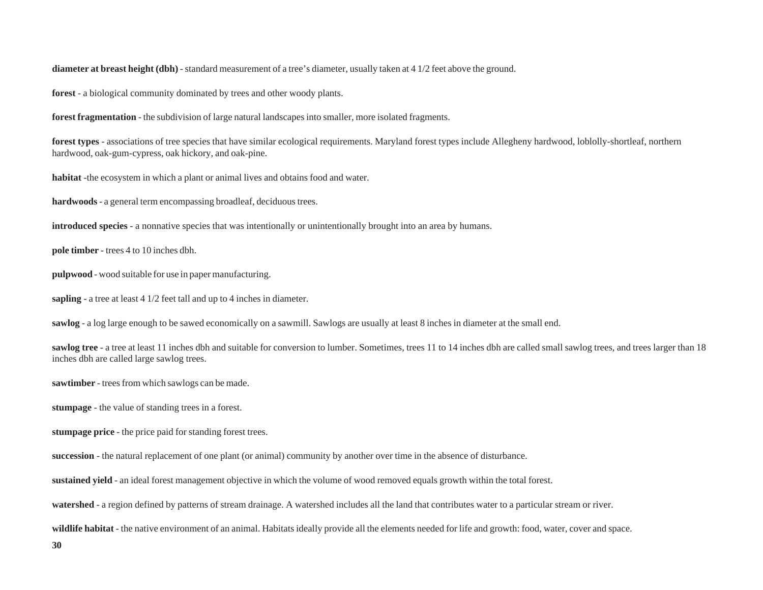**diameter at breast height (dbh)** - standard measurement of a tree's diameter, usually taken at 4 1/2 feet above the ground.

**forest** - a biological community dominated by trees and other woody plants.

**forest fragmentation** - the subdivision of large natural landscapes into smaller, more isolated fragments.

**forest types** - associations of tree species that have similar ecological requirements. Maryland forest types include Allegheny hardwood, loblolly-shortleaf, northern hardwood, oak-gum-cypress, oak hickory, and oak-pine.

**habitat** -the ecosystem in which a plant or animal lives and obtains food and water.

**hardwoods** - a general term encompassing broadleaf, deciduous trees.

**introduced species** - a nonnative species that was intentionally or unintentionally brought into an area by humans.

**pole timber** - trees 4 to 10 inches dbh.

**pulpwood** - wood suitable for use in paper manufacturing.

**sapling** - a tree at least 4 1/2 feet tall and up to 4 inches in diameter.

**sawlog** - a log large enough to be sawed economically on a sawmill. Sawlogs are usually at least 8 inches in diameter at the small end.

sawlog tree - a tree at least 11 inches dbh and suitable for conversion to lumber. Sometimes, trees 11 to 14 inches dbh are called small sawlog trees, and trees larger than 18 inches dbh are called large sawlog trees.

**sawtimber** - trees from which sawlogs can be made.

**stumpage** - the value of standing trees in a forest.

**stumpage price** - the price paid for standing forest trees.

**succession** - the natural replacement of one plant (or animal) community by another over time in the absence of disturbance.

**sustained yield** - an ideal forest management objective in which the volume of wood removed equals growth within the total forest.

**watershed** - a region defined by patterns of stream drainage. A watershed includes all the land that contributes water to a particular stream or river.

**wildlife habitat** - the native environment of an animal. Habitats ideally provide all the elements needed for life and growth: food, water, cover and space.